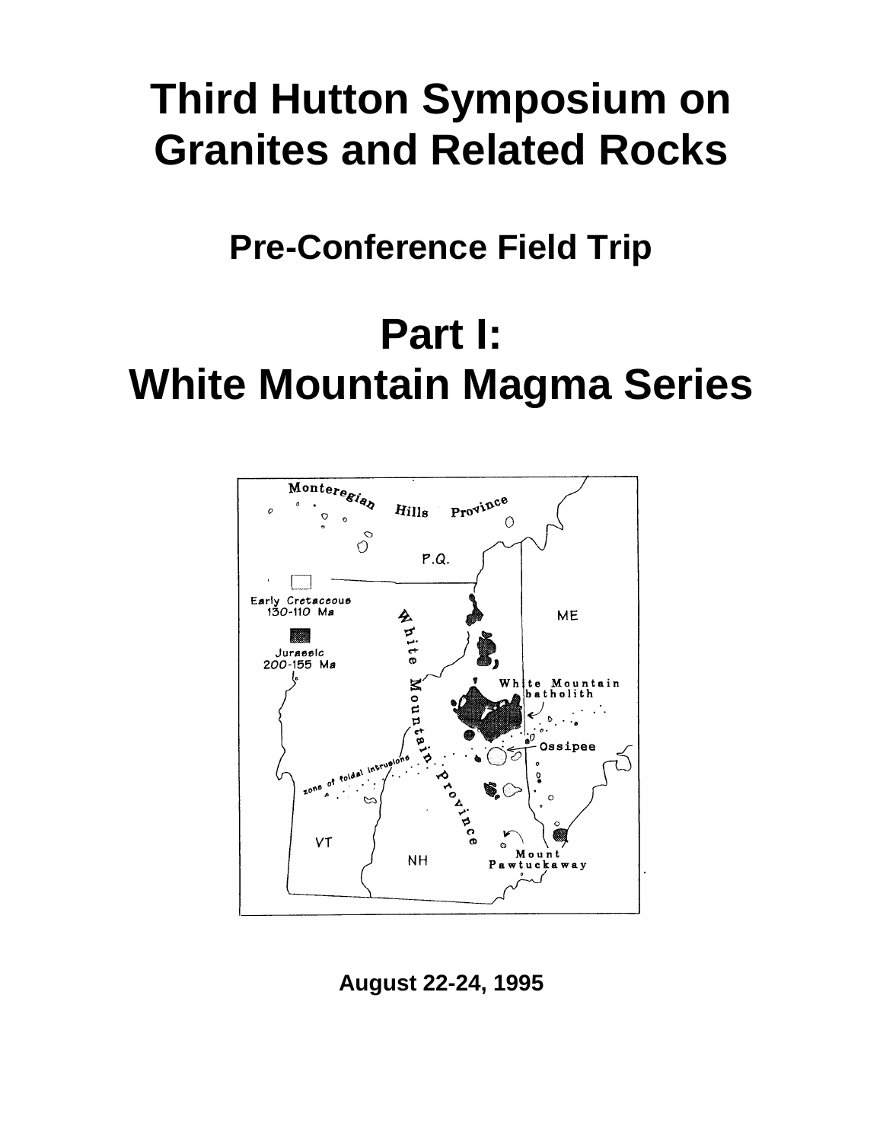# **Third Hutton Symposium on Granites and Related Rocks**

**Pre-Conference Field Trip**

# **Part I: White Mountain Magma Series**



**August 22-24, 1995**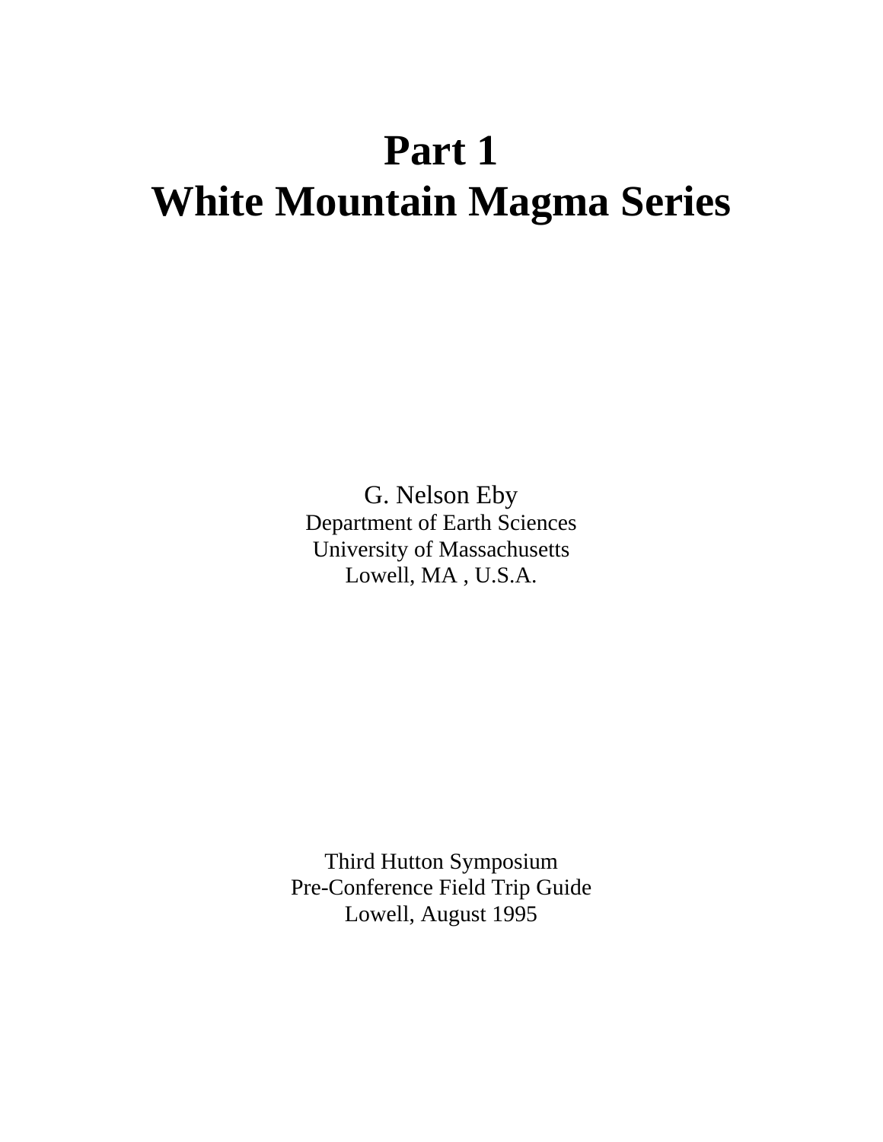# **Part 1 White Mountain Magma Series**

G. Nelson Eby Department of Earth Sciences University of Massachusetts Lowell, MA , U.S.A.

Third Hutton Symposium Pre-Conference Field Trip Guide Lowell, August 1995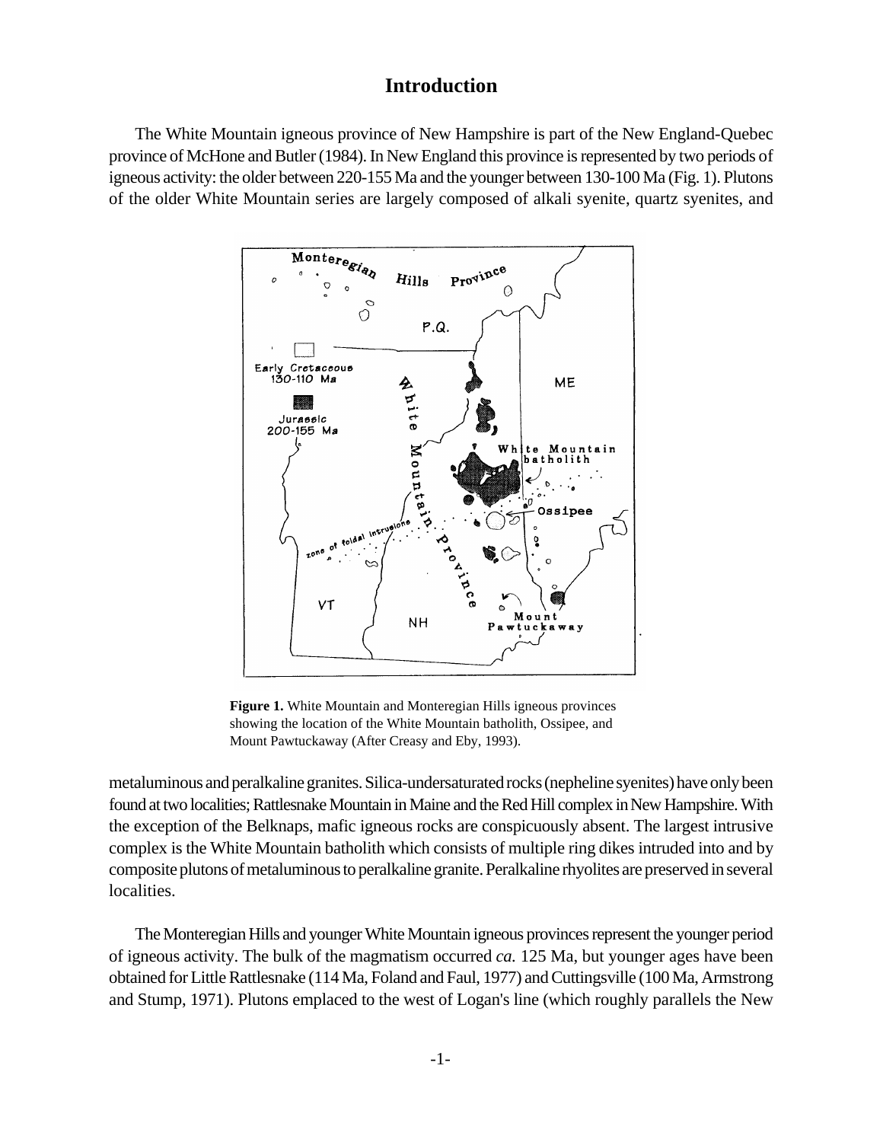# **Introduction**

The White Mountain igneous province of New Hampshire is part of the New England-Quebec province of McHone and Butler (1984). In New England this province is represented by two periods of igneous activity: the older between 220-155 Ma and the younger between 130-100 Ma (Fig. 1). Plutons of the older White Mountain series are largely composed of alkali syenite, quartz syenites, and



**Figure 1.** White Mountain and Monteregian Hills igneous provinces showing the location of the White Mountain batholith, Ossipee, and Mount Pawtuckaway (After Creasy and Eby, 1993).

metaluminous and peralkaline granites. Silica-undersaturated rocks (nepheline syenites) have only been found at two localities; Rattlesnake Mountain in Maine and the Red Hill complex in New Hampshire. With the exception of the Belknaps, mafic igneous rocks are conspicuously absent. The largest intrusive complex is the White Mountain batholith which consists of multiple ring dikes intruded into and by composite plutons of metaluminous to peralkaline granite. Peralkaline rhyolites are preserved in several localities.

The Monteregian Hills and younger White Mountain igneous provinces represent the younger period of igneous activity. The bulk of the magmatism occurred *ca.* 125 Ma, but younger ages have been obtained for Little Rattlesnake (114 Ma, Foland and Faul, 1977) and Cuttingsville (100 Ma, Armstrong and Stump, 1971). Plutons emplaced to the west of Logan's line (which roughly parallels the New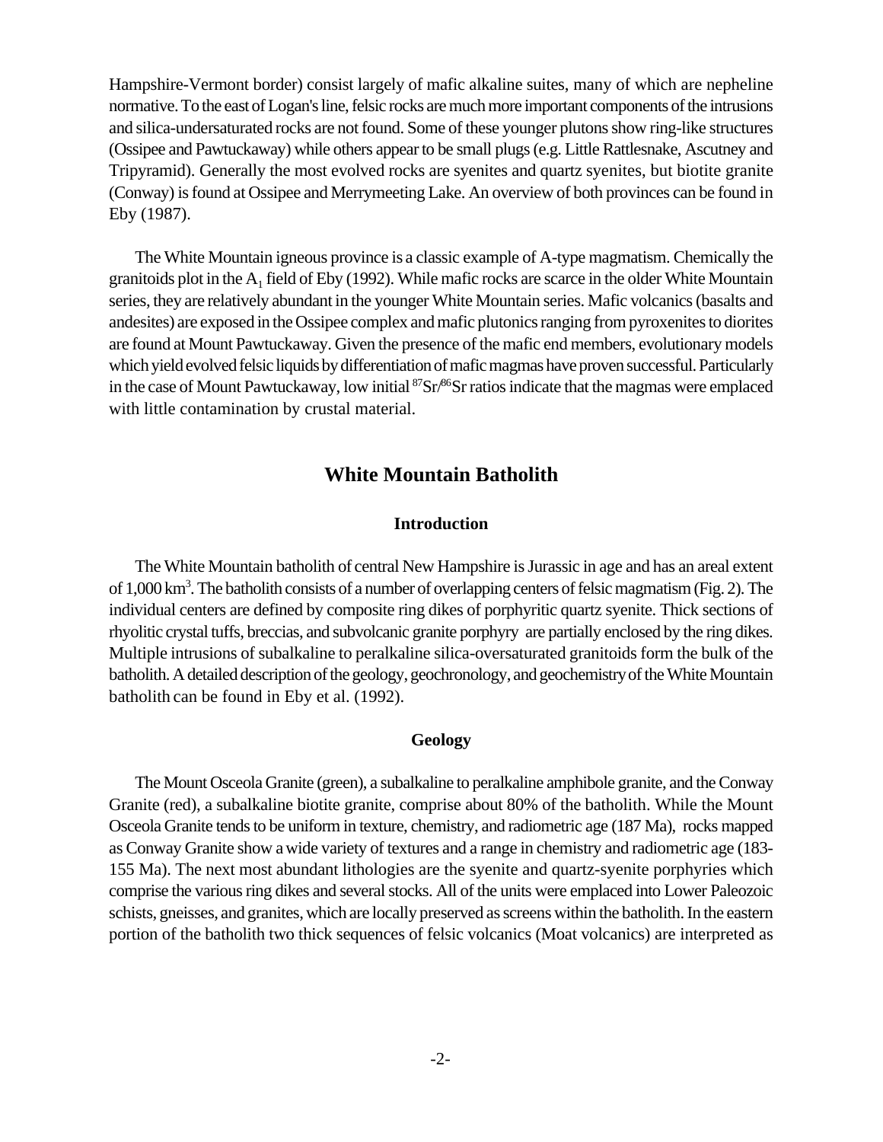Hampshire-Vermont border) consist largely of mafic alkaline suites, many of which are nepheline normative. To the east of Logan's line, felsic rocks are much more important components of the intrusions and silica-undersaturated rocks are notfound. Some of these younger plutons show ring-like structures (Ossipee and Pawtuckaway) while others appear to be small plugs (e.g. Little Rattlesnake, Ascutney and Tripyramid). Generally the most evolved rocks are syenites and quartz syenites, but biotite granite (Conway) is found at Ossipee and Merrymeeting Lake. An overview of both provinces can be found in Eby (1987).

The White Mountain igneous province is a classic example of A-type magmatism. Chemically the granitoids plot in the  $A_1$  field of Eby (1992). While mafic rocks are scarce in the older White Mountain series, they are relatively abundant in the younger White Mountain series. Mafic volcanics (basalts and andesites) are exposed in the Ossipee complex and mafic plutonics ranging from pyroxenites to diorites are found at Mount Pawtuckaway. Given the presence of the mafic end members, evolutionary models which yield evolved felsic liquids by differentiation of mafic magmas have proven successful. Particularly in the case of Mount Pawtuckaway, low initial  ${}^{87}Sr/{}^{86}Sr$  ratios indicate that the magmas were emplaced with little contamination by crustal material.

# **White Mountain Batholith**

# **Introduction**

The White Mountain batholith of central New Hampshire is Jurassic in age and has an areal extent of 1,000 km<sup>3</sup>. The batholith consists of a number of overlapping centers of felsic magmatism (Fig. 2). The individual centers are defined by composite ring dikes of porphyritic quartz syenite. Thick sections of rhyolitic crystal tuffs, breccias, and subvolcanic granite porphyry are partially enclosed by the ring dikes. Multiple intrusions of subalkaline to peralkaline silica-oversaturated granitoids form the bulk of the batholith. A detailed description of the geology, geochronology, and geochemistry of the White Mountain batholith can be found in Eby et al. (1992).

#### **Geology**

The Mount Osceola Granite (green), a subalkaline to peralkaline amphibole granite, and the Conway Granite (red), a subalkaline biotite granite, comprise about 80% of the batholith. While the Mount Osceola Granite tends to be uniform in texture, chemistry, and radiometric age (187 Ma), rocks mapped as Conway Granite show a wide variety of textures and a range in chemistry and radiometric age (183- 155 Ma). The next most abundant lithologies are the syenite and quartz-syenite porphyries which comprise the various ring dikes and several stocks. All of the units were emplaced into Lower Paleozoic schists, gneisses, and granites, which are locally preserved as screens within the batholith. In the eastern portion of the batholith two thick sequences of felsic volcanics (Moat volcanics) are interpreted as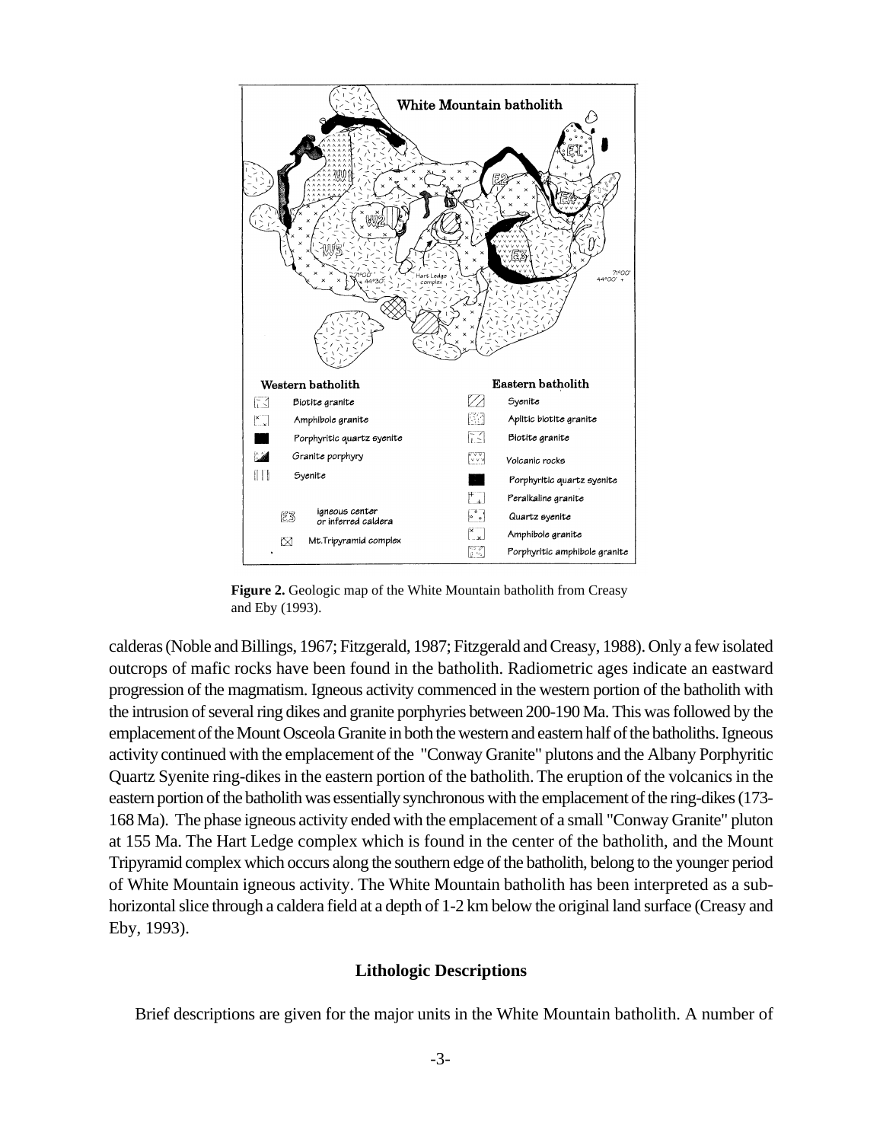

**Figure 2.** Geologic map of the White Mountain batholith from Creasy and Eby (1993).

calderas(Noble and Billings, 1967; Fitzgerald, 1987; Fitzgerald and Creasy, 1988). Only a few isolated outcrops of mafic rocks have been found in the batholith. Radiometric ages indicate an eastward progression of the magmatism. Igneous activity commenced in the western portion of the batholith with the intrusion of several ring dikes and granite porphyries between 200-190 Ma. This was followed by the emplacement ofthe Mount Osceola Granite in both the western and eastern half of the batholiths. Igneous activity continued with the emplacement of the "Conway Granite" plutons and the Albany Porphyritic Quartz Syenite ring-dikes in the eastern portion of the batholith. The eruption of the volcanics in the eastern portion of the batholith was essentially synchronous with the emplacement of the ring-dikes (173- 168 Ma). The phase igneous activity ended with the emplacement of a small "Conway Granite" pluton at 155 Ma. The Hart Ledge complex which is found in the center of the batholith, and the Mount Tripyramid complex which occurs along the southern edge of the batholith, belong to the younger period of White Mountain igneous activity. The White Mountain batholith has been interpreted as a subhorizontal slice through a caldera field at a depth of 1-2 km below the original land surface (Creasy and Eby, 1993).

### **Lithologic Descriptions**

Brief descriptions are given for the major units in the White Mountain batholith. A number of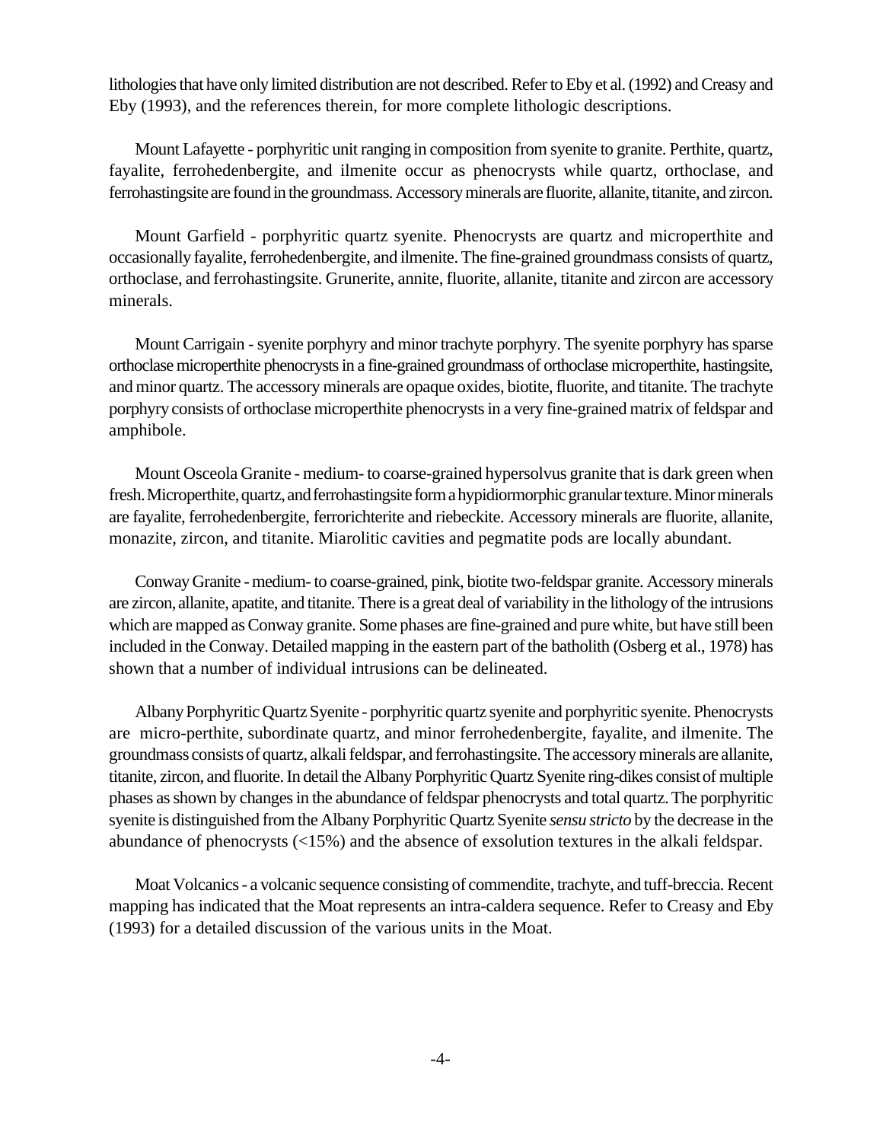lithologies that have only limited distribution are not described. Refer to Eby et al. (1992) and Creasy and Eby (1993), and the references therein, for more complete lithologic descriptions.

Mount Lafayette - porphyritic unit ranging in composition from syenite to granite. Perthite, quartz, fayalite, ferrohedenbergite, and ilmenite occur as phenocrysts while quartz, orthoclase, and ferrohastingsite are found in the groundmass. Accessory minerals are fluorite, allanite, titanite, and zircon.

Mount Garfield - porphyritic quartz syenite. Phenocrysts are quartz and microperthite and occasionally fayalite, ferrohedenbergite, and ilmenite. The fine-grained groundmass consists of quartz, orthoclase, and ferrohastingsite. Grunerite, annite, fluorite, allanite, titanite and zircon are accessory minerals.

Mount Carrigain - syenite porphyry and minor trachyte porphyry. The syenite porphyry has sparse orthoclase microperthite phenocrysts in a fine-grained groundmass of orthoclase microperthite, hastingsite, and minor quartz. The accessory minerals are opaque oxides, biotite, fluorite, and titanite. The trachyte porphyry consists of orthoclase microperthite phenocrysts in a very fine-grained matrix of feldspar and amphibole.

Mount Osceola Granite - medium- to coarse-grained hypersolvus granite that is dark green when fresh. Microperthite, quartz, andferrohastingsite form a hypidiormorphic granular texture. Minor minerals are fayalite, ferrohedenbergite, ferrorichterite and riebeckite. Accessory minerals are fluorite, allanite, monazite, zircon, and titanite. Miarolitic cavities and pegmatite pods are locally abundant.

Conway Granite - medium- to coarse-grained, pink, biotite two-feldspar granite. Accessory minerals are zircon, allanite, apatite, and titanite. There is a great deal of variability in the lithology of the intrusions which are mapped as Conway granite. Some phases are fine-grained and pure white, but have still been included in the Conway. Detailed mapping in the eastern part of the batholith (Osberg et al., 1978) has shown that a number of individual intrusions can be delineated.

Albany Porphyritic Quartz Syenite - porphyritic quartz syenite and porphyritic syenite. Phenocrysts are micro-perthite, subordinate quartz, and minor ferrohedenbergite, fayalite, and ilmenite. The groundmass consists of quartz, alkali feldspar, and ferrohastingsite. The accessory minerals are allanite, titanite, zircon, and fluorite. In detail the Albany Porphyritic Quartz Syenite ring-dikes consist of multiple phases as shown by changes in the abundance of feldspar phenocrysts and total quartz. The porphyritic syenite is distinguished from the Albany Porphyritic Quartz Syenite *sensu stricto* by the decrease in the abundance of phenocrysts (<15%) and the absence of exsolution textures in the alkali feldspar.

Moat Volcanics - a volcanic sequence consisting of commendite, trachyte, and tuff-breccia. Recent mapping has indicated that the Moat represents an intra-caldera sequence. Refer to Creasy and Eby (1993) for a detailed discussion of the various units in the Moat.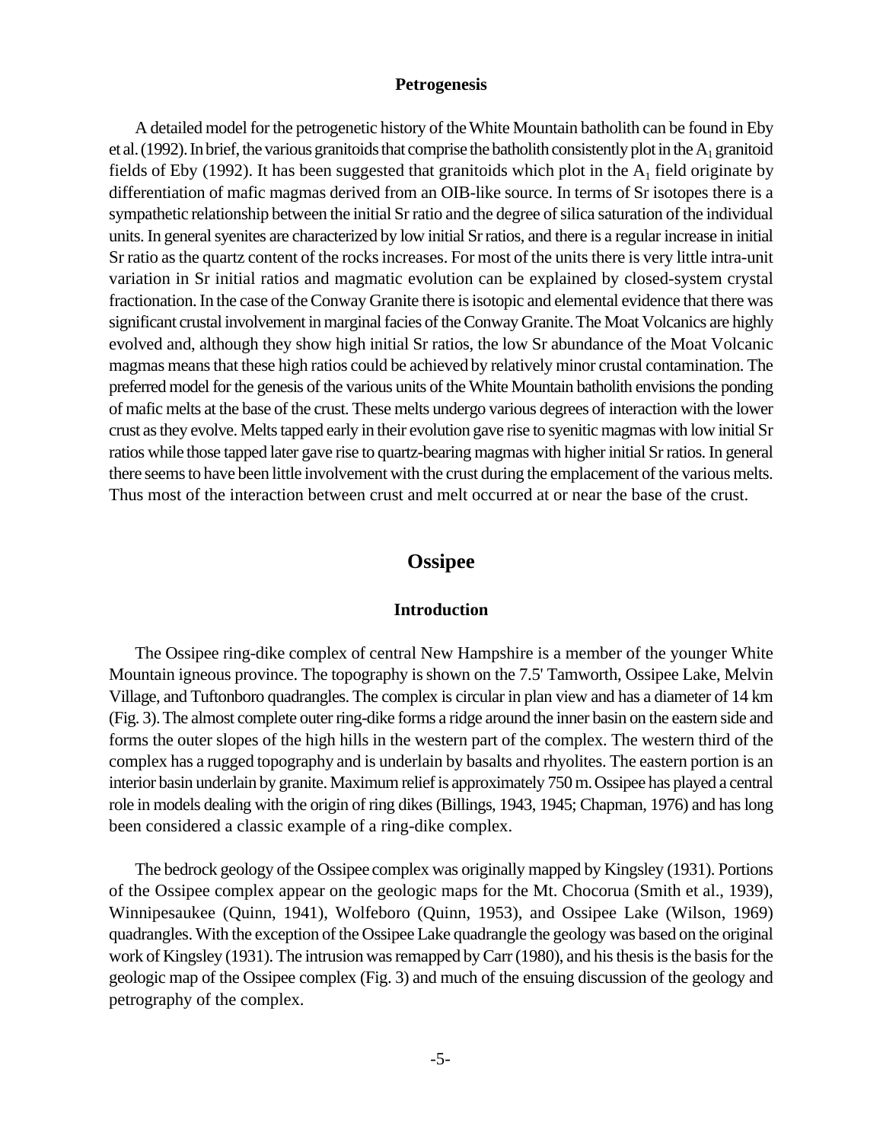#### **Petrogenesis**

A detailed model for the petrogenetic history of the White Mountain batholith can be found in Eby et al. (1992). In brief, the various granitoids that comprise the batholith consistently plot in the  $A_1$  granitoid fields of Eby (1992). It has been suggested that granitoids which plot in the  $A_1$  field originate by differentiation of mafic magmas derived from an OIB-like source. In terms of Sr isotopes there is a sympathetic relationship between the initial Sr ratio and the degree of silica saturation of the individual units. In general syenites are characterized by low initial Sr ratios, and there is a regular increase in initial Sr ratio as the quartz content of the rocks increases. For most of the units there is very little intra-unit variation in Sr initial ratios and magmatic evolution can be explained by closed-system crystal fractionation. In the case of the Conway Granite there is isotopic and elemental evidence that there was significant crustal involvement in marginal facies of the Conway Granite. The Moat Volcanics are highly evolved and, although they show high initial Sr ratios, the low Sr abundance of the Moat Volcanic magmas means that these high ratios could be achieved by relatively minor crustal contamination. The preferred model for the genesis of the various units of the White Mountain batholith envisions the ponding of mafic melts at the base of the crust. These melts undergo various degrees of interaction with the lower crust as they evolve. Melts tapped early in their evolution gave rise to syenitic magmas with low initial Sr ratios while those tapped later gave rise to quartz-bearing magmas with higher initial Sr ratios. In general there seems to have been little involvement with the crust during the emplacement of the various melts. Thus most of the interaction between crust and melt occurred at or near the base of the crust.

# **Ossipee**

#### **Introduction**

The Ossipee ring-dike complex of central New Hampshire is a member of the younger White Mountain igneous province. The topography is shown on the 7.5' Tamworth, Ossipee Lake, Melvin Village, and Tuftonboro quadrangles. The complex is circular in plan view and has a diameter of 14 km (Fig. 3). The almost complete outer ring-dike forms a ridge around the inner basin on the eastern side and forms the outer slopes of the high hills in the western part of the complex. The western third of the complex has a rugged topography and is underlain by basalts and rhyolites. The eastern portion is an interior basin underlain by granite. Maximum relief is approximately 750 m. Ossipee has played a central role in models dealing with the origin of ring dikes (Billings, 1943, 1945; Chapman, 1976) and has long been considered a classic example of a ring-dike complex.

The bedrock geology of the Ossipee complex was originally mapped by Kingsley (1931). Portions of the Ossipee complex appear on the geologic maps for the Mt. Chocorua (Smith et al., 1939), Winnipesaukee (Quinn, 1941), Wolfeboro (Quinn, 1953), and Ossipee Lake (Wilson, 1969) quadrangles. With the exception of the Ossipee Lake quadrangle the geology was based on the original work of Kingsley (1931). The intrusion was remapped by Carr (1980), and his thesis is the basis for the geologic map of the Ossipee complex (Fig. 3) and much of the ensuing discussion of the geology and petrography of the complex.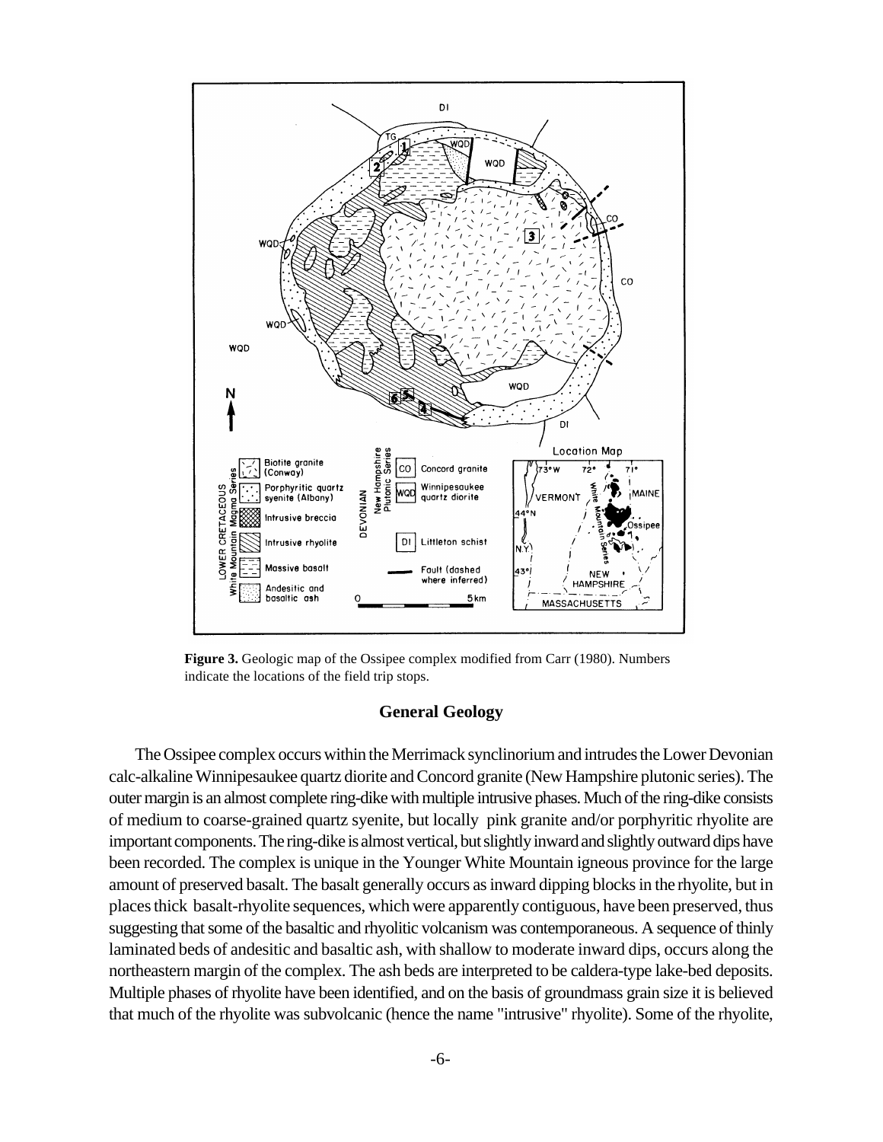

**Figure 3.** Geologic map of the Ossipee complex modified from Carr (1980). Numbers indicate the locations of the field trip stops.

#### **General Geology**

The Ossipee complex occurs within the Merrimack synclinorium and intrudes the Lower Devonian calc-alkaline Winnipesaukee quartz diorite and Concord granite (New Hampshire plutonic series). The outer margin is an almost complete ring-dike with multiple intrusive phases. Much of the ring-dike consists of medium to coarse-grained quartz syenite, but locally pink granite and/or porphyritic rhyolite are important components. The ring-dike is almost vertical, but slightly inward andslightly outward dips have been recorded. The complex is unique in the Younger White Mountain igneous province for the large amount of preserved basalt. The basalt generally occurs as inward dipping blocks in the rhyolite, but in places thick basalt-rhyolite sequences, which were apparently contiguous, have been preserved, thus suggesting that some of the basaltic and rhyolitic volcanism was contemporaneous. A sequence of thinly laminated beds of andesitic and basaltic ash, with shallow to moderate inward dips, occurs along the northeastern margin of the complex. The ash beds are interpreted to be caldera-type lake-bed deposits. Multiple phases of rhyolite have been identified, and on the basis of groundmass grain size it is believed that much of the rhyolite was subvolcanic (hence the name "intrusive" rhyolite). Some of the rhyolite,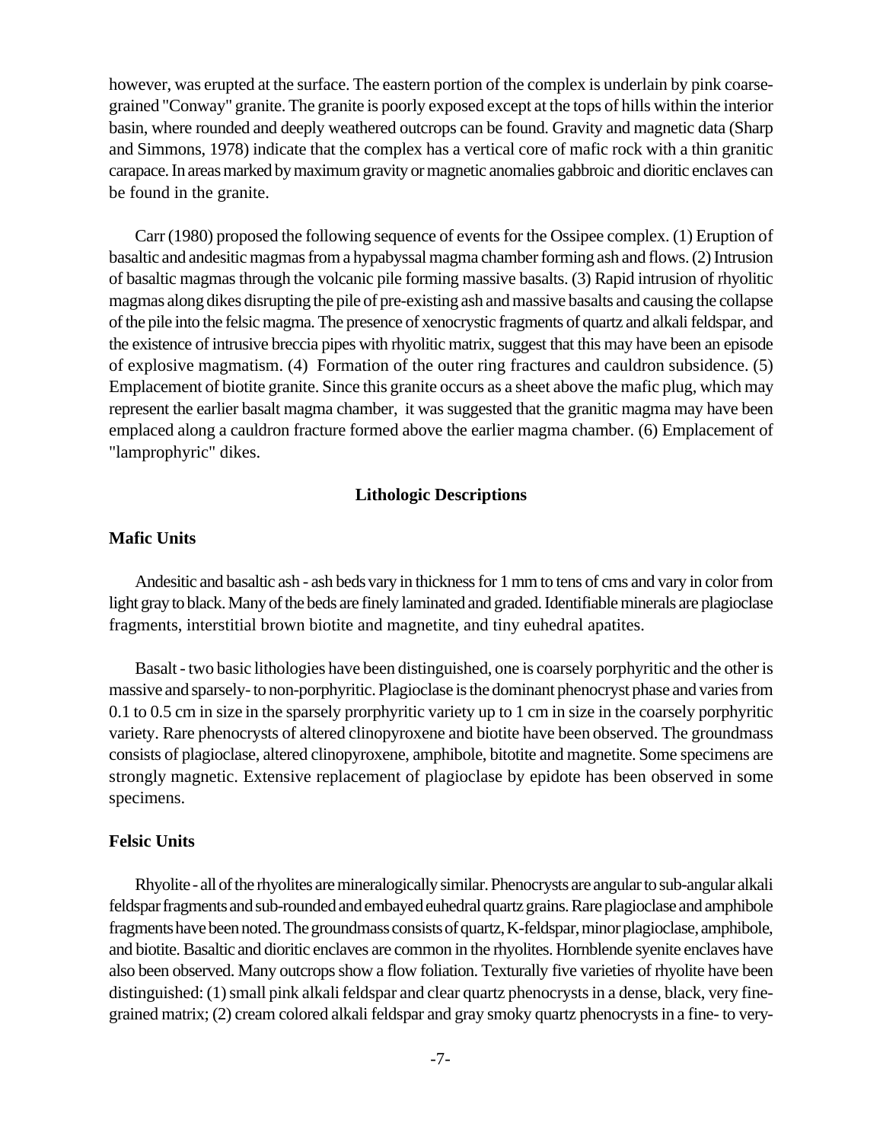however, was erupted at the surface. The eastern portion of the complex is underlain by pink coarsegrained "Conway" granite. The granite is poorly exposed except at the tops of hills within the interior basin, where rounded and deeply weathered outcrops can be found. Gravity and magnetic data (Sharp and Simmons, 1978) indicate that the complex has a vertical core of mafic rock with a thin granitic carapace. In areas marked by maximum gravity ormagnetic anomalies gabbroic and dioritic enclaves can be found in the granite.

Carr (1980) proposed the following sequence of events for the Ossipee complex. (1) Eruption of basaltic and andesitic magmas from a hypabyssal magma chamber forming ash and flows. (2) Intrusion of basaltic magmas through the volcanic pile forming massive basalts. (3) Rapid intrusion of rhyolitic magmas along dikes disrupting the pile of pre-existing ash and massive basalts and causing the collapse of the pile into the felsic magma. The presence of xenocrystic fragments of quartz and alkali feldspar, and the existence of intrusive breccia pipes with rhyolitic matrix, suggest that this may have been an episode of explosive magmatism. (4) Formation of the outer ring fractures and cauldron subsidence. (5) Emplacement of biotite granite. Since this granite occurs as a sheet above the mafic plug, which may represent the earlier basalt magma chamber, it was suggested that the granitic magma may have been emplaced along a cauldron fracture formed above the earlier magma chamber. (6) Emplacement of "lamprophyric" dikes.

## **Lithologic Descriptions**

## **Mafic Units**

Andesitic and basaltic ash - ash beds vary in thickness for 1 mm to tens of cms and vary in color from light gray to black. Many of the beds are finely laminated and graded. Identifiable minerals are plagioclase fragments, interstitial brown biotite and magnetite, and tiny euhedral apatites.

Basalt - two basic lithologies have been distinguished, one is coarsely porphyritic and the other is massive and sparsely- to non-porphyritic. Plagioclase is the dominant phenocryst phase and varies from 0.1 to 0.5 cm in size in the sparsely prorphyritic variety up to 1 cm in size in the coarsely porphyritic variety. Rare phenocrysts of altered clinopyroxene and biotite have been observed. The groundmass consists of plagioclase, altered clinopyroxene, amphibole, bitotite and magnetite. Some specimens are strongly magnetic. Extensive replacement of plagioclase by epidote has been observed in some specimens.

#### **Felsic Units**

Rhyolite - all ofthe rhyolites are mineralogically similar. Phenocrysts are angular to sub-angular alkali feldspar fragmentsand sub-rounded and embayed euhedral quartz grains. Rare plagioclase and amphibole fragmentshave been noted. The groundmass consists of quartz, K-feldspar, minor plagioclase, amphibole, and biotite. Basaltic and dioritic enclaves are common in the rhyolites. Hornblende syenite enclaves have also been observed. Many outcrops show a flow foliation. Texturally five varieties of rhyolite have been distinguished: (1) small pink alkali feldspar and clear quartz phenocrystsin a dense, black, very finegrained matrix; (2) cream colored alkali feldspar and gray smoky quartz phenocrysts in a fine- to very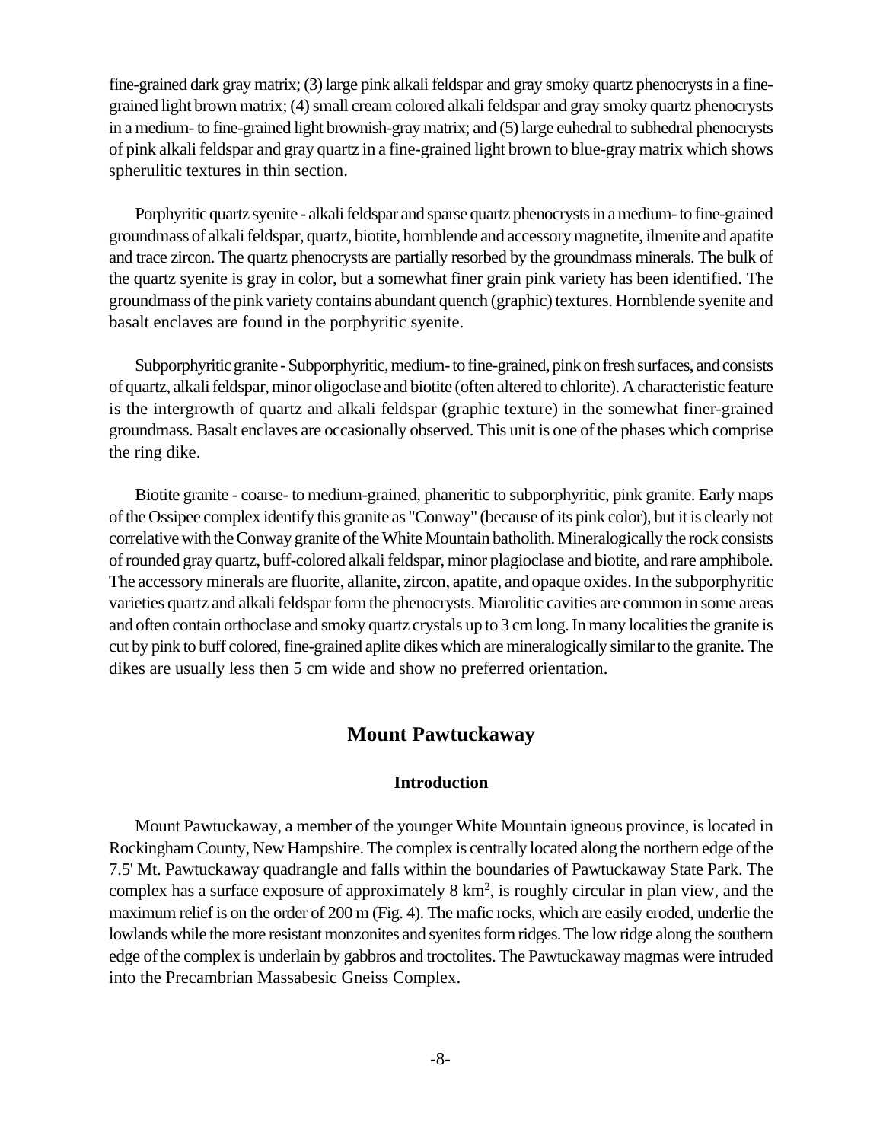fine-grained dark gray matrix; (3) large pink alkali feldspar and gray smoky quartz phenocrysts in a finegrained light brown matrix; (4) small cream colored alkali feldspar and gray smoky quartz phenocrysts in a medium- to fine-grained light brownish-gray matrix; and (5) large euhedral to subhedral phenocrysts of pink alkali feldspar and gray quartz in a fine-grained light brown to blue-gray matrix which shows spherulitic textures in thin section.

Porphyritic quartz syenite - alkali feldspar and sparse quartz phenocrysts in a medium- to fine-grained groundmass of alkali feldspar, quartz, biotite, hornblende and accessory magnetite, ilmenite and apatite and trace zircon. The quartz phenocrysts are partially resorbed by the groundmass minerals. The bulk of the quartz syenite is gray in color, but a somewhat finer grain pink variety has been identified. The groundmass of the pink variety contains abundant quench (graphic) textures. Hornblende syenite and basalt enclaves are found in the porphyritic syenite.

Subporphyritic granite - Subporphyritic, medium- to fine-grained, pink on fresh surfaces, and consists of quartz, alkali feldspar, minor oligoclase and biotite (often altered to chlorite). A characteristic feature is the intergrowth of quartz and alkali feldspar (graphic texture) in the somewhat finer-grained groundmass. Basalt enclaves are occasionally observed. This unit is one of the phases which comprise the ring dike.

Biotite granite - coarse- to medium-grained, phaneritic to subporphyritic, pink granite. Early maps of the Ossipee complex identify this granite as "Conway" (because of its pink color), but it is clearly not correlative with the Conway granite of theWhite Mountain batholith. Mineralogically the rock consists of rounded gray quartz, buff-colored alkali feldspar, minor plagioclase and biotite, and rare amphibole. The accessory minerals are fluorite, allanite, zircon, apatite, and opaque oxides. In the subporphyritic varieties quartz and alkali feldspar form the phenocrysts. Miarolitic cavities are common in some areas and often contain orthoclase and smoky quartz crystals up to 3 cm long. In many localities the granite is cut by pink to buff colored, fine-grained aplite dikes which are mineralogically similar to the granite. The dikes are usually less then 5 cm wide and show no preferred orientation.

# **Mount Pawtuckaway**

#### **Introduction**

Mount Pawtuckaway, a member of the younger White Mountain igneous province, is located in Rockingham County, New Hampshire. The complex is centrally located along the northern edge of the 7.5' Mt. Pawtuckaway quadrangle and falls within the boundaries of Pawtuckaway State Park. The complex has a surface exposure of approximately  $8 \text{ km}^2$ , is roughly circular in plan view, and the maximum relief is on the order of 200 m (Fig. 4). The mafic rocks, which are easily eroded, underlie the lowlands while the more resistant monzonites and syenites form ridges. The low ridge along the southern edge of the complex is underlain by gabbros and troctolites. The Pawtuckaway magmas were intruded into the Precambrian Massabesic Gneiss Complex.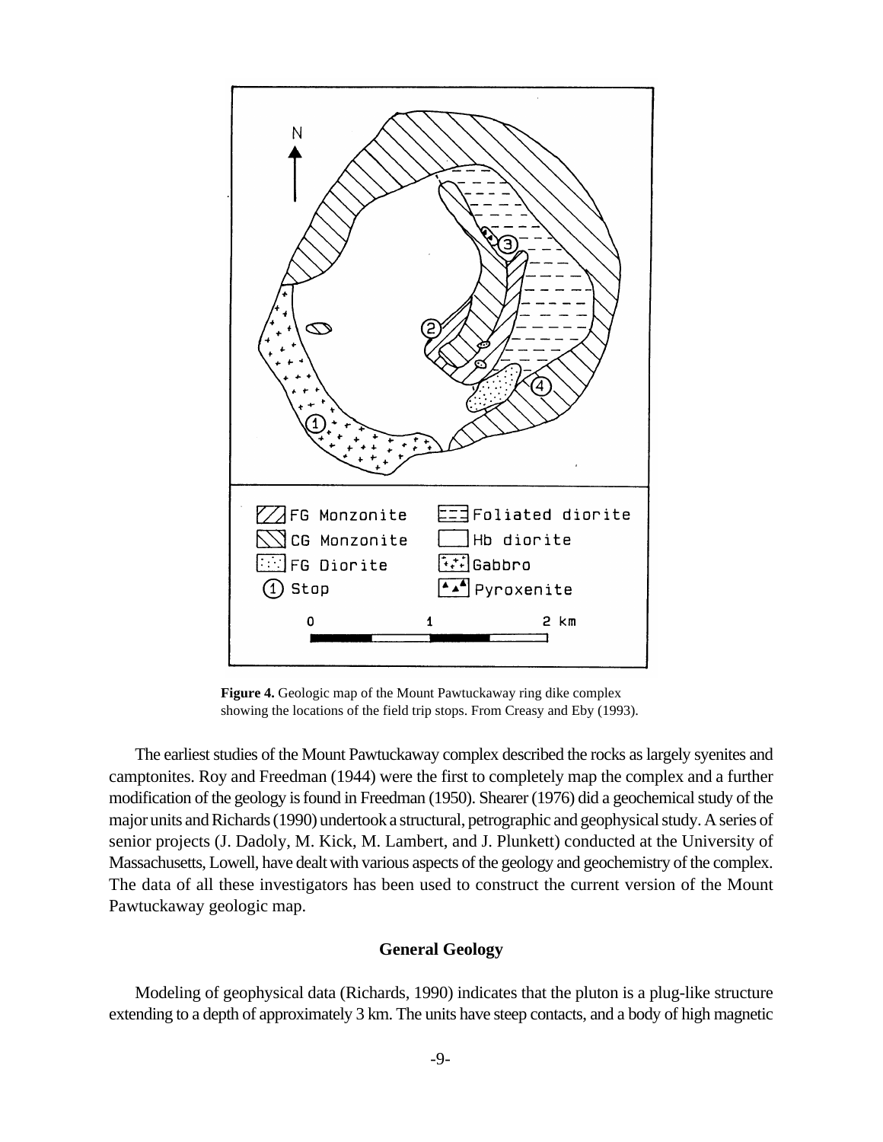

**Figure 4.** Geologic map of the Mount Pawtuckaway ring dike complex showing the locations of the field trip stops. From Creasy and Eby (1993).

The earliest studies of the Mount Pawtuckaway complex described the rocks as largely syenites and camptonites. Roy and Freedman (1944) were the first to completely map the complex and a further modification of the geology is found in Freedman (1950). Shearer (1976) did a geochemical study of the major units and Richards (1990) undertook a structural, petrographic and geophysical study. A series of senior projects (J. Dadoly, M. Kick, M. Lambert, and J. Plunkett) conducted at the University of Massachusetts, Lowell, have dealt with various aspects of the geology and geochemistry of the complex. The data of all these investigators has been used to construct the current version of the Mount Pawtuckaway geologic map.

#### **General Geology**

Modeling of geophysical data (Richards, 1990) indicates that the pluton is a plug-like structure extending to a depth of approximately 3 km. The units have steep contacts, and a body of high magnetic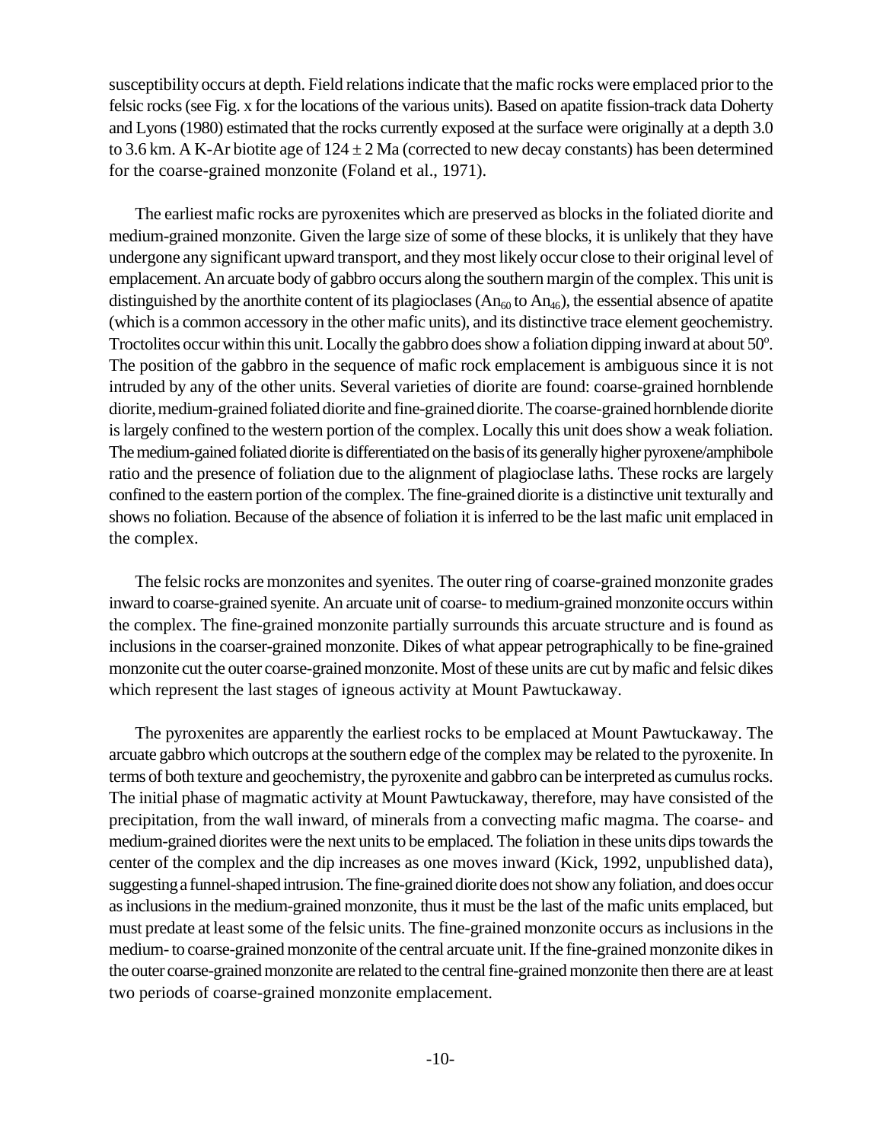susceptibility occurs at depth. Field relations indicate that the mafic rocks were emplaced prior to the felsic rocks (see Fig. x for the locations of the various units). Based on apatite fission-track data Doherty and Lyons (1980) estimated that the rocks currently exposed at the surface were originally at a depth 3.0 to 3.6 km. A K-Ar biotite age of  $124 \pm 2$  Ma (corrected to new decay constants) has been determined for the coarse-grained monzonite (Foland et al., 1971).

The earliest mafic rocks are pyroxenites which are preserved as blocks in the foliated diorite and medium-grained monzonite. Given the large size of some of these blocks, it is unlikely that they have undergone any significant upward transport, and they most likely occur close to their original level of emplacement. An arcuate body of gabbro occurs along the southern margin of the complex. This unit is distinguished by the anorthite content of its plagioclases  $(An_{60}$  to  $An_{46})$ , the essential absence of apatite (which is a common accessory in the other mafic units), and its distinctive trace element geochemistry. Troctolites occur within this unit. Locally the gabbro does show a foliation dipping inward at about 50°. The position of the gabbro in the sequence of mafic rock emplacement is ambiguous since it is not intruded by any of the other units. Several varieties of diorite are found: coarse-grained hornblende diorite,medium-grained foliated diorite and fine-grained diorite. The coarse-grained hornblende diorite is largely confined to the western portion of the complex. Locally this unit does show a weak foliation. The medium-gained foliated diorite is differentiated on the basis of its generally higher pyroxene/amphibole ratio and the presence of foliation due to the alignment of plagioclase laths. These rocks are largely confined to the eastern portion of the complex. The fine-grained diorite is a distinctive unit texturally and shows no foliation. Because of the absence of foliation it is inferred to be the last mafic unit emplaced in the complex.

The felsic rocks are monzonites and syenites. The outer ring of coarse-grained monzonite grades inward to coarse-grained syenite. An arcuate unit of coarse- to medium-grained monzonite occurs within the complex. The fine-grained monzonite partially surrounds this arcuate structure and is found as inclusions in the coarser-grained monzonite. Dikes of what appear petrographically to be fine-grained monzonite cut the outer coarse-grained monzonite. Most of these units are cut by mafic and felsic dikes which represent the last stages of igneous activity at Mount Pawtuckaway.

The pyroxenites are apparently the earliest rocks to be emplaced at Mount Pawtuckaway. The arcuate gabbro which outcrops at the southern edge of the complex may be related to the pyroxenite. In terms of both texture and geochemistry, the pyroxenite and gabbro can be interpreted as cumulus rocks. The initial phase of magmatic activity at Mount Pawtuckaway, therefore, may have consisted of the precipitation, from the wall inward, of minerals from a convecting mafic magma. The coarse- and medium-grained diorites were the next units to be emplaced. The foliation in these units dips towards the center of the complex and the dip increases as one moves inward (Kick, 1992, unpublished data), suggesting a funnel-shapedintrusion. The fine-grained diorite does not show any foliation, and does occur as inclusions in the medium-grained monzonite, thus it must be the last of the mafic units emplaced, but must predate at least some of the felsic units. The fine-grained monzonite occurs as inclusions in the medium- to coarse-grained monzonite of the central arcuate unit. If the fine-grained monzonite dikes in the outer coarse-grained monzonite are related to the central fine-grained monzonite then there are at least two periods of coarse-grained monzonite emplacement.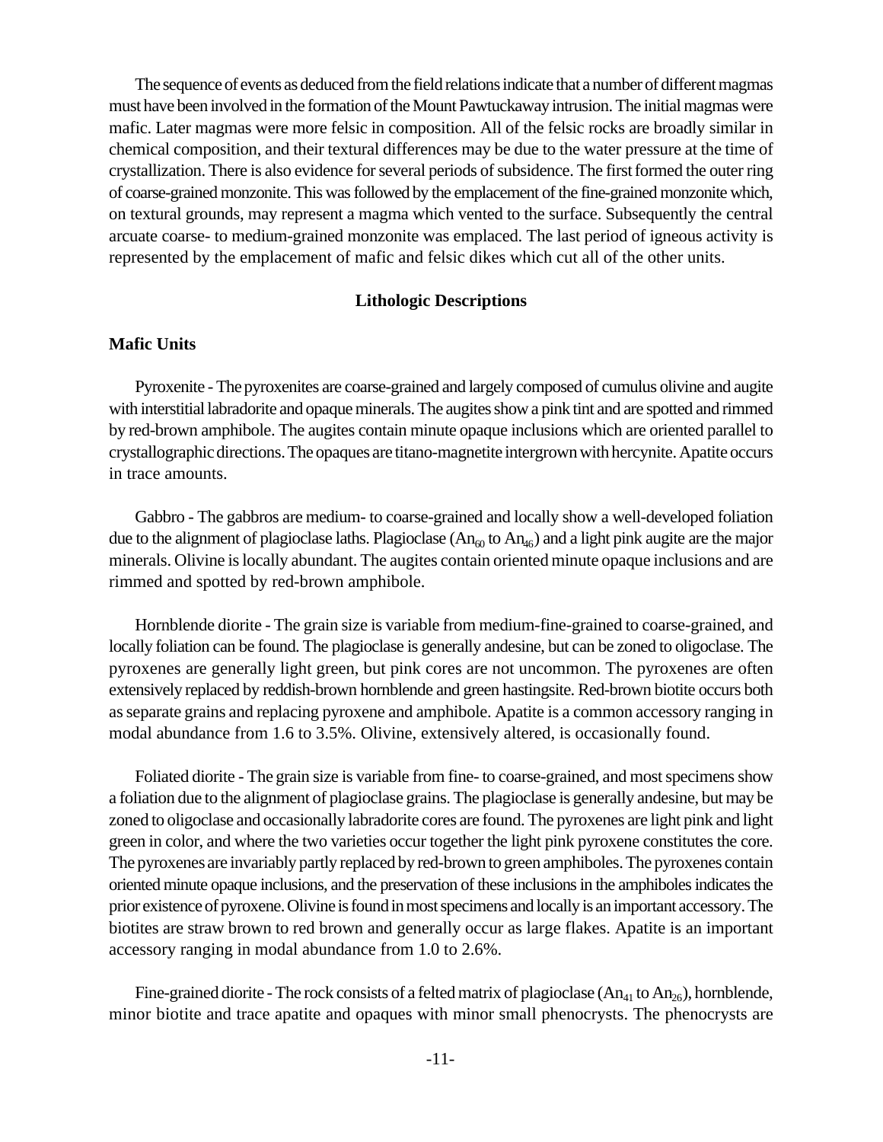The sequence of events as deduced from the field relations indicate that a number of different magmas must have been involved in the formation of the Mount Pawtuckaway intrusion. The initial magmas were mafic. Later magmas were more felsic in composition. All of the felsic rocks are broadly similar in chemical composition, and their textural differences may be due to the water pressure at the time of crystallization. There is also evidence for several periods of subsidence. The first formed the outer ring of coarse-grained monzonite. This was followed by the emplacement of the fine-grained monzonite which, on textural grounds, may represent a magma which vented to the surface. Subsequently the central arcuate coarse- to medium-grained monzonite was emplaced. The last period of igneous activity is represented by the emplacement of mafic and felsic dikes which cut all of the other units.

### **Lithologic Descriptions**

#### **Mafic Units**

Pyroxenite - The pyroxenites are coarse-grained and largely composed of cumulus olivine and augite with interstitial labradorite and opaque minerals. The augites show a pink tint and are spotted and rimmed by red-brown amphibole. The augites contain minute opaque inclusions which are oriented parallel to crystallographic directions. Theopaques are titano-magnetite intergrown with hercynite. Apatite occurs in trace amounts.

Gabbro - The gabbros are medium- to coarse-grained and locally show a well-developed foliation due to the alignment of plagioclase laths. Plagioclase  $(An_{\alpha}$  to  $An_{\alpha}$  and a light pink augite are the major minerals. Olivine is locally abundant. The augites contain oriented minute opaque inclusions and are rimmed and spotted by red-brown amphibole.

Hornblende diorite - The grain size is variable from medium-fine-grained to coarse-grained, and locally foliation can be found. The plagioclase is generally andesine, but can be zoned to oligoclase. The pyroxenes are generally light green, but pink cores are not uncommon. The pyroxenes are often extensively replaced by reddish-brown hornblende and green hastingsite. Red-brown biotite occurs both as separate grains and replacing pyroxene and amphibole. Apatite is a common accessory ranging in modal abundance from 1.6 to 3.5%. Olivine, extensively altered, is occasionally found.

Foliated diorite - The grain size is variable from fine- to coarse-grained, and most specimens show a foliation due to the alignment of plagioclase grains. The plagioclase is generally andesine, but may be zoned to oligoclase and occasionally labradorite cores are found. The pyroxenes are light pink and light green in color, and where the two varieties occur together the light pink pyroxene constitutes the core. The pyroxenes are invariably partly replaced by red-brown to green amphiboles. The pyroxenes contain oriented minute opaque inclusions, and the preservation of these inclusions in the amphiboles indicates the prior existence of pyroxene. Olivine is found inmost specimens and locally is an important accessory. The biotites are straw brown to red brown and generally occur as large flakes. Apatite is an important accessory ranging in modal abundance from 1.0 to 2.6%.

Fine-grained diorite - The rock consists of a felted matrix of plagioclase  $(An_{41}$  to  $An_{26})$ , hornblende, minor biotite and trace apatite and opaques with minor small phenocrysts. The phenocrysts are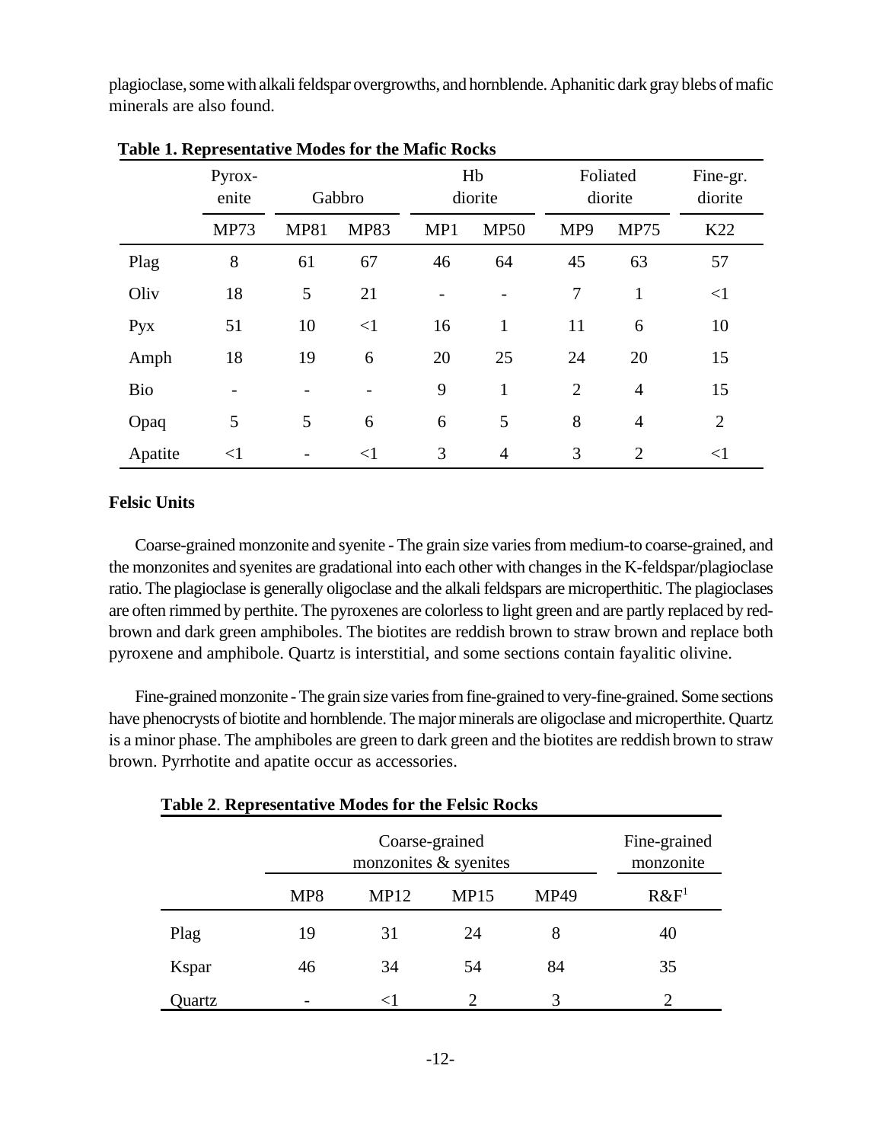plagioclase, some with alkali feldspar overgrowths, and hornblende. Aphanitic dark gray blebs of mafic minerals are also found.

|            | Pyrox-<br>enite | Gabbro      |             | Hb<br>diorite |                | Foliated<br>diorite |                | Fine-gr.<br>diorite |
|------------|-----------------|-------------|-------------|---------------|----------------|---------------------|----------------|---------------------|
|            | <b>MP73</b>     | <b>MP81</b> | <b>MP83</b> | MP1           | <b>MP50</b>    | MP9                 | <b>MP75</b>    | K22                 |
| Plag       | 8               | 61          | 67          | 46            | 64             | 45                  | 63             | 57                  |
| Oliv       | 18              | 5           | 21          |               |                | 7                   | 1              | $\leq$ 1            |
| Pyx        | 51              | 10          | $\leq$ 1    | 16            | $\mathbf{1}$   | 11                  | 6              | 10                  |
| Amph       | 18              | 19          | 6           | 20            | 25             | 24                  | 20             | 15                  |
| <b>Bio</b> |                 |             |             | 9             | $\mathbf{1}$   | $\overline{2}$      | $\overline{4}$ | 15                  |
| Opaq       | 5               | 5           | 6           | 6             | 5              | 8                   | $\overline{4}$ | $\overline{2}$      |
| Apatite    | $<$ 1           |             | $<$ 1       | 3             | $\overline{4}$ | 3                   | $\overline{2}$ | $\leq$ 1            |

 **Table 1. Representative Modes for the Mafic Rocks**

## **Felsic Units**

Coarse-grained monzonite and syenite - The grain size varies from medium-to coarse-grained, and the monzonites and syenites are gradational into each other with changes in the K-feldspar/plagioclase ratio. The plagioclase is generally oligoclase and the alkali feldspars are microperthitic. The plagioclases are often rimmed by perthite. The pyroxenes are colorless to light green and are partly replaced by redbrown and dark green amphiboles. The biotites are reddish brown to straw brown and replace both pyroxene and amphibole. Quartz is interstitial, and some sections contain fayalitic olivine.

Fine-grained monzonite - The grain size varies from fine-grained to very-fine-grained. Some sections have phenocrysts of biotite and hornblende. The major minerals are oligoclase and microperthite. Quartz is a minor phase. The amphiboles are green to dark green and the biotites are reddish brown to straw brown. Pyrrhotite and apatite occur as accessories.

|        |     | Fine-grained<br>monzonite |                |             |                             |
|--------|-----|---------------------------|----------------|-------------|-----------------------------|
|        | MP8 | <b>MP12</b>               | MP15           | <b>MP49</b> | $R\&F^1$                    |
| Plag   | 19  | 31                        | 24             | 8           | 40                          |
| Kspar  | 46  | 34                        | 54             | 84          | 35                          |
| )uartz |     | $\leq$                    | $\overline{2}$ | 3           | $\mathcal{D}_{\mathcal{L}}$ |

 **Table 2**. **Representative Modes for the Felsic Rocks**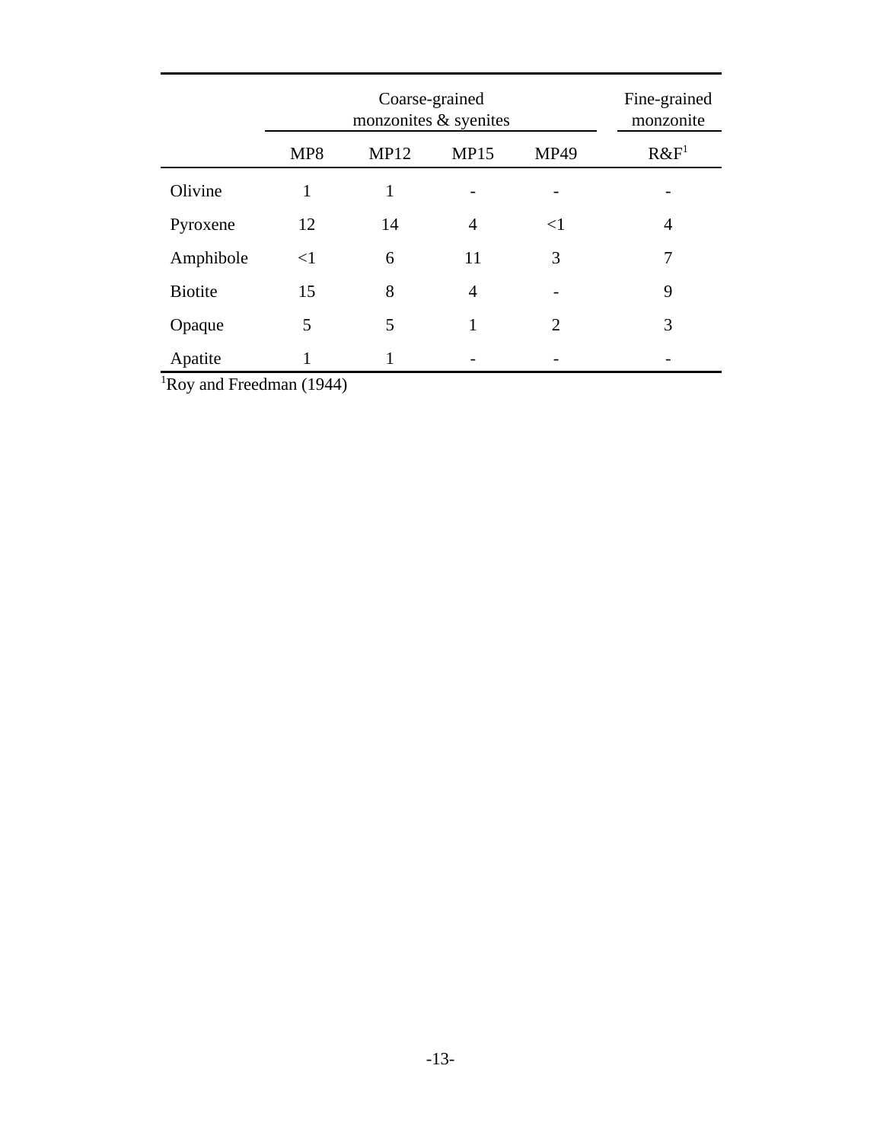|                |          | Fine-grained<br>monzonite |                |                |         |
|----------------|----------|---------------------------|----------------|----------------|---------|
|                | MP8      | <b>MP12</b>               | <b>MP15</b>    | <b>MP49</b>    | $R\&F1$ |
| Olivine        |          | 1                         |                |                |         |
| Pyroxene       | 12       | 14                        | $\overline{4}$ | $\leq$ 1       | 4       |
| Amphibole      | $\leq$ 1 | 6                         | 11             | 3              | 7       |
| <b>Biotite</b> | 15       | 8                         | 4              |                | 9       |
| Opaque         | 5        | 5                         |                | $\overline{2}$ | 3       |
| Apatite        |          |                           |                |                |         |

 $Roy$  and Freedman (1944)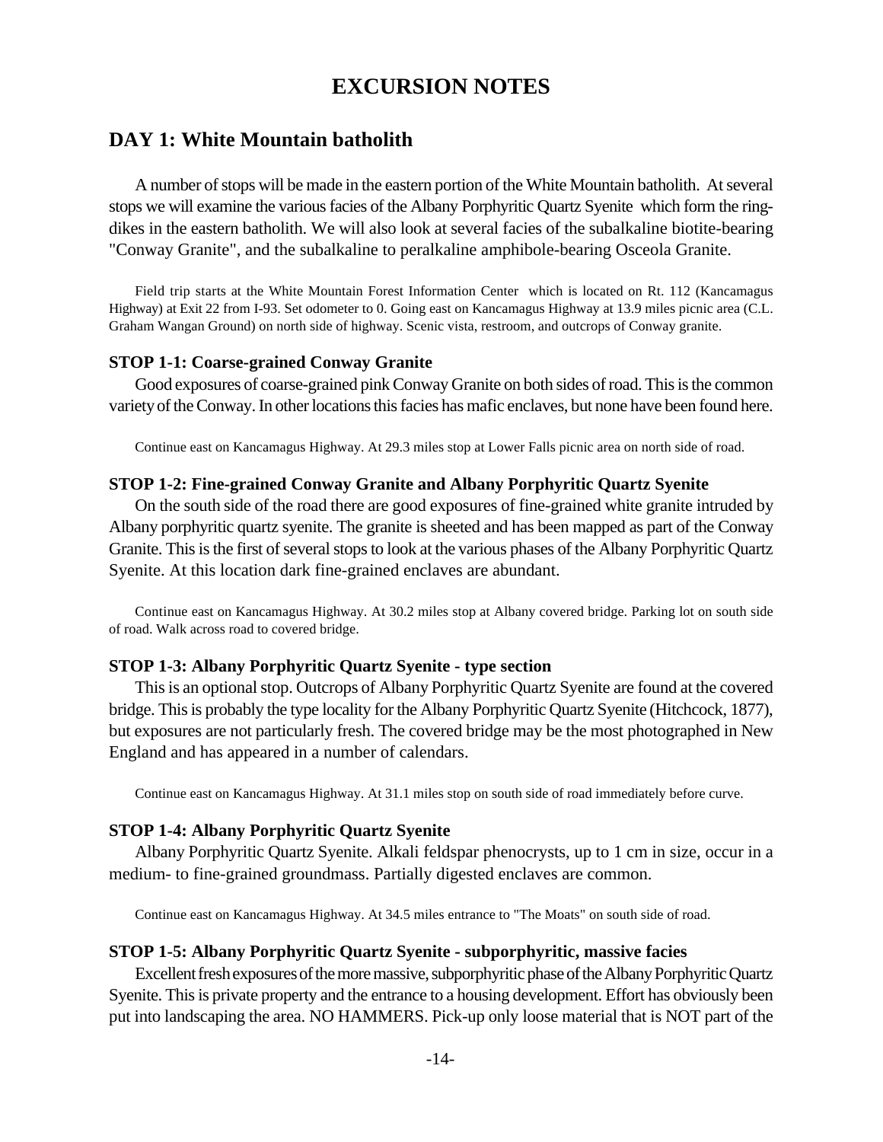# **EXCURSION NOTES**

# **DAY 1: White Mountain batholith**

A number of stops will be made in the eastern portion of the White Mountain batholith. At several stops we will examine the various facies of the Albany Porphyritic Quartz Syenite which form the ringdikes in the eastern batholith. We will also look at several facies of the subalkaline biotite-bearing "Conway Granite", and the subalkaline to peralkaline amphibole-bearing Osceola Granite.

Field trip starts at the White Mountain Forest Information Center which is located on Rt. 112 (Kancamagus Highway) at Exit 22 from I-93. Set odometer to 0. Going east on Kancamagus Highway at 13.9 miles picnic area (C.L. Graham Wangan Ground) on north side of highway. Scenic vista, restroom, and outcrops of Conway granite.

#### **STOP 1-1: Coarse-grained Conway Granite**

Good exposures of coarse-grained pink Conway Granite on both sides of road. This is the common variety of the Conway. In other locationsthis facies has mafic enclaves, but none have been found here.

Continue east on Kancamagus Highway. At 29.3 miles stop at Lower Falls picnic area on north side of road.

### **STOP 1-2: Fine-grained Conway Granite and Albany Porphyritic Quartz Syenite**

On the south side of the road there are good exposures of fine-grained white granite intruded by Albany porphyritic quartz syenite. The granite is sheeted and has been mapped as part of the Conway Granite. This is the first of several stops to look at the various phases of the Albany Porphyritic Quartz Syenite. At this location dark fine-grained enclaves are abundant.

Continue east on Kancamagus Highway. At 30.2 miles stop at Albany covered bridge. Parking lot on south side of road. Walk across road to covered bridge.

### **STOP 1-3: Albany Porphyritic Quartz Syenite - type section**

This is an optional stop. Outcrops of Albany Porphyritic Quartz Syenite are found at the covered bridge. This is probably the type locality for the Albany Porphyritic Quartz Syenite (Hitchcock, 1877), but exposures are not particularly fresh. The covered bridge may be the most photographed in New England and has appeared in a number of calendars.

Continue east on Kancamagus Highway. At 31.1 miles stop on south side of road immediately before curve.

#### **STOP 1-4: Albany Porphyritic Quartz Syenite**

Albany Porphyritic Quartz Syenite. Alkali feldspar phenocrysts, up to 1 cm in size, occur in a medium- to fine-grained groundmass. Partially digested enclaves are common.

Continue east on Kancamagus Highway. At 34.5 miles entrance to "The Moats" on south side of road.

#### **STOP 1-5: Albany Porphyritic Quartz Syenite - subporphyritic, massive facies**

Excellent fresh exposures of the more massive, subporphyritic phase of the Albany Porphyritic Quartz Syenite. This is private property and the entrance to a housing development. Effort has obviously been put into landscaping the area. NO HAMMERS. Pick-up only loose material that is NOT part of the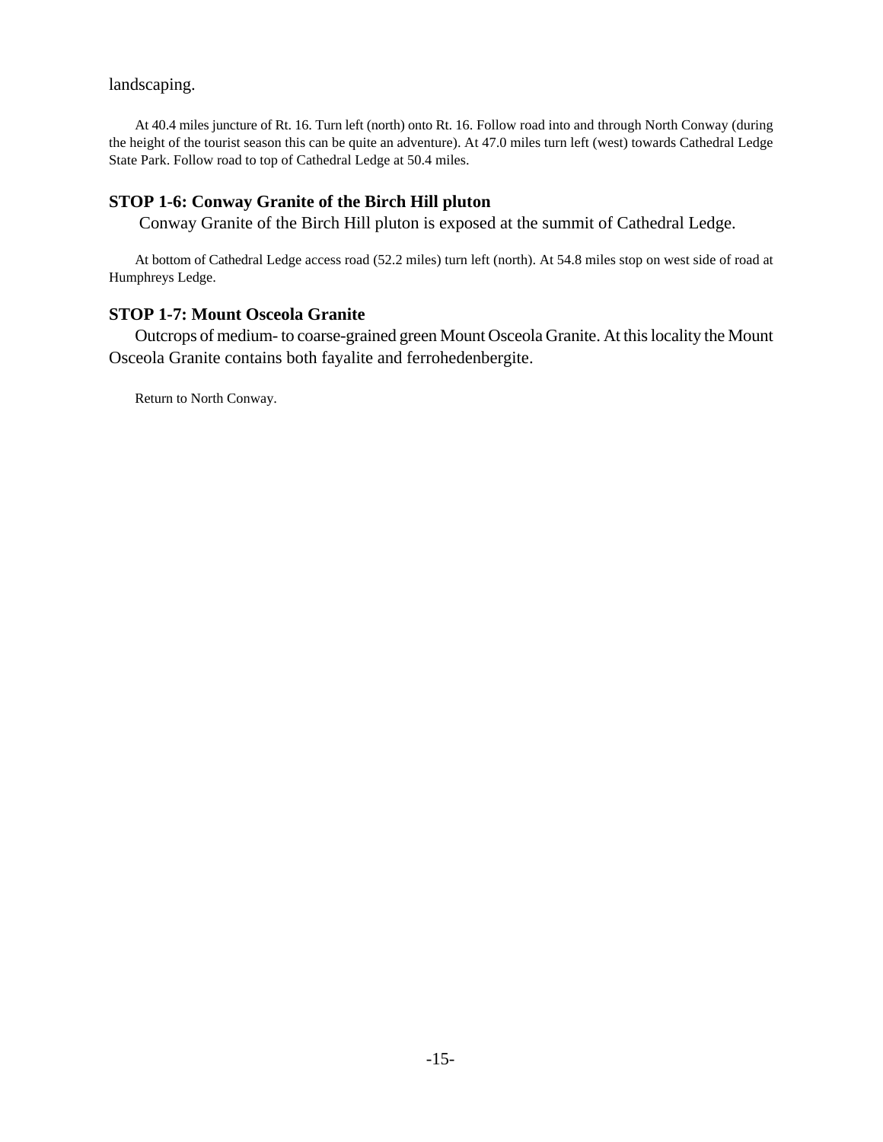### landscaping.

At 40.4 miles juncture of Rt. 16. Turn left (north) onto Rt. 16. Follow road into and through North Conway (during the height of the tourist season this can be quite an adventure). At 47.0 miles turn left (west) towards Cathedral Ledge State Park. Follow road to top of Cathedral Ledge at 50.4 miles.

# **STOP 1-6: Conway Granite of the Birch Hill pluton**

Conway Granite of the Birch Hill pluton is exposed at the summit of Cathedral Ledge.

At bottom of Cathedral Ledge access road (52.2 miles) turn left (north). At 54.8 miles stop on west side of road at Humphreys Ledge.

## **STOP 1-7: Mount Osceola Granite**

Outcrops of medium- to coarse-grained green Mount Osceola Granite. At this locality the Mount Osceola Granite contains both fayalite and ferrohedenbergite.

Return to North Conway.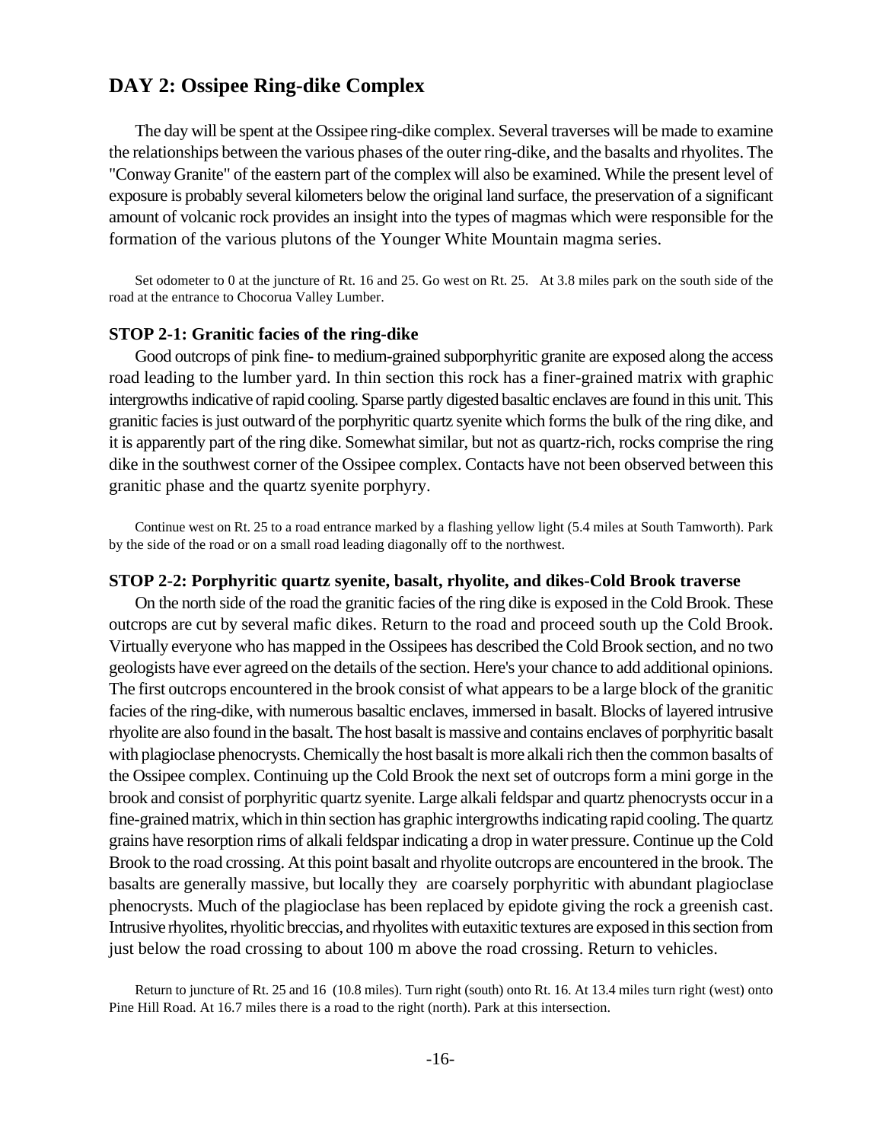# **DAY 2: Ossipee Ring-dike Complex**

The day will be spent at the Ossipee ring-dike complex. Several traverses will be made to examine the relationships between the various phases of the outer ring-dike, and the basalts and rhyolites. The "Conway Granite" of the eastern part of the complex will also be examined. While the present level of exposure is probably several kilometers below the original land surface, the preservation of a significant amount of volcanic rock provides an insight into the types of magmas which were responsible for the formation of the various plutons of the Younger White Mountain magma series.

Set odometer to 0 at the juncture of Rt. 16 and 25. Go west on Rt. 25. At 3.8 miles park on the south side of the road at the entrance to Chocorua Valley Lumber.

#### **STOP 2-1: Granitic facies of the ring-dike**

Good outcrops of pink fine- to medium-grained subporphyritic granite are exposed along the access road leading to the lumber yard. In thin section this rock has a finer-grained matrix with graphic intergrowths indicative of rapid cooling. Sparse partly digested basaltic enclaves are found in this unit. This granitic facies is just outward of the porphyritic quartz syenite which forms the bulk of the ring dike, and it is apparently part of the ring dike. Somewhat similar, but not as quartz-rich, rocks comprise the ring dike in the southwest corner of the Ossipee complex. Contacts have not been observed between this granitic phase and the quartz syenite porphyry.

Continue west on Rt. 25 to a road entrance marked by a flashing yellow light (5.4 miles at South Tamworth). Park by the side of the road or on a small road leading diagonally off to the northwest.

#### **STOP 2-2: Porphyritic quartz syenite, basalt, rhyolite, and dikes-Cold Brook traverse**

On the north side of the road the granitic facies of the ring dike is exposed in the Cold Brook. These outcrops are cut by several mafic dikes. Return to the road and proceed south up the Cold Brook. Virtually everyone who has mapped in the Ossipees has described the Cold Brook section, and no two geologists have ever agreed on the details of the section. Here's your chance to add additional opinions. The first outcrops encountered in the brook consist of what appears to be a large block of the granitic facies of the ring-dike, with numerous basaltic enclaves, immersed in basalt. Blocks of layered intrusive rhyolite are also found in the basalt. The host basalt is massive and contains enclaves of porphyritic basalt with plagioclase phenocrysts. Chemically the host basalt is more alkali rich then the common basalts of the Ossipee complex. Continuing up the Cold Brook the next set of outcrops form a mini gorge in the brook and consist of porphyritic quartz syenite. Large alkali feldspar and quartz phenocrysts occur in a fine-grained matrix, which in thin section has graphic intergrowths indicating rapid cooling. The quartz grains have resorption rims of alkali feldspar indicating a drop in water pressure. Continue up the Cold Brook to the road crossing. At this point basalt and rhyolite outcrops are encountered in the brook. The basalts are generally massive, but locally they are coarsely porphyritic with abundant plagioclase phenocrysts. Much of the plagioclase has been replaced by epidote giving the rock a greenish cast. Intrusive rhyolites, rhyolitic breccias, and rhyolites with eutaxitic textures are exposed in this section from just below the road crossing to about 100 m above the road crossing. Return to vehicles.

Return to juncture of Rt. 25 and 16 (10.8 miles). Turn right (south) onto Rt. 16. At 13.4 miles turn right (west) onto Pine Hill Road. At 16.7 miles there is a road to the right (north). Park at this intersection.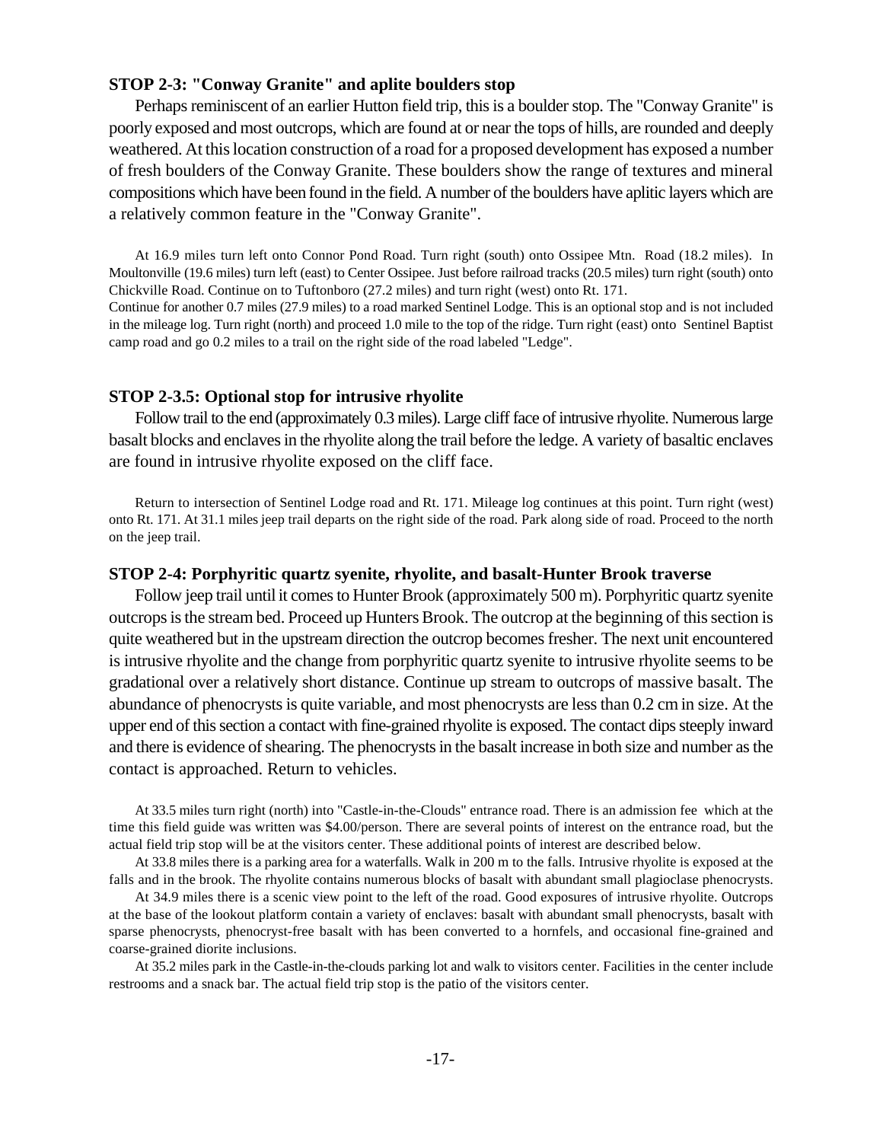### **STOP 2-3: "Conway Granite" and aplite boulders stop**

Perhaps reminiscent of an earlier Hutton field trip, this is a boulder stop. The "Conway Granite" is poorly exposed and most outcrops, which are found at or near the tops of hills, are rounded and deeply weathered. At this location construction of a road for a proposed development has exposed a number of fresh boulders of the Conway Granite. These boulders show the range of textures and mineral compositions which have been found in the field. A number of the boulders have aplitic layers which are a relatively common feature in the "Conway Granite".

At 16.9 miles turn left onto Connor Pond Road. Turn right (south) onto Ossipee Mtn. Road (18.2 miles). In Moultonville (19.6 miles) turn left (east) to Center Ossipee. Just before railroad tracks (20.5 miles) turn right (south) onto Chickville Road. Continue on to Tuftonboro (27.2 miles) and turn right (west) onto Rt. 171.

Continue for another 0.7 miles (27.9 miles) to a road marked Sentinel Lodge. This is an optional stop and is not included in the mileage log. Turn right (north) and proceed 1.0 mile to the top of the ridge. Turn right (east) onto Sentinel Baptist camp road and go 0.2 miles to a trail on the right side of the road labeled "Ledge".

#### **STOP 2-3.5: Optional stop for intrusive rhyolite**

Follow trail to the end (approximately 0.3 miles). Large cliff face of intrusive rhyolite. Numerous large basalt blocks and enclaves in the rhyolite along the trail before the ledge. A variety of basaltic enclaves are found in intrusive rhyolite exposed on the cliff face.

Return to intersection of Sentinel Lodge road and Rt. 171. Mileage log continues at this point. Turn right (west) onto Rt. 171. At 31.1 miles jeep trail departs on the right side of the road. Park along side of road. Proceed to the north on the jeep trail.

#### **STOP 2-4: Porphyritic quartz syenite, rhyolite, and basalt-Hunter Brook traverse**

Follow jeep trail until it comes to Hunter Brook (approximately 500 m). Porphyritic quartz syenite outcrops is the stream bed. Proceed up Hunters Brook. The outcrop at the beginning of this section is quite weathered but in the upstream direction the outcrop becomes fresher. The next unit encountered is intrusive rhyolite and the change from porphyritic quartz syenite to intrusive rhyolite seems to be gradational over a relatively short distance. Continue up stream to outcrops of massive basalt. The abundance of phenocrysts is quite variable, and most phenocrysts are less than 0.2 cm in size. At the upper end of this section a contact with fine-grained rhyolite is exposed. The contact dips steeply inward and there is evidence of shearing. The phenocrysts in the basalt increase in both size and number as the contact is approached. Return to vehicles.

At 33.5 miles turn right (north) into "Castle-in-the-Clouds" entrance road. There is an admission fee which at the time this field guide was written was \$4.00/person. There are several points of interest on the entrance road, but the actual field trip stop will be at the visitors center. These additional points of interest are described below.

At 33.8 miles there is a parking area for a waterfalls. Walk in 200 m to the falls. Intrusive rhyolite is exposed at the falls and in the brook. The rhyolite contains numerous blocks of basalt with abundant small plagioclase phenocrysts.

At 34.9 miles there is a scenic view point to the left of the road. Good exposures of intrusive rhyolite. Outcrops at the base of the lookout platform contain a variety of enclaves: basalt with abundant small phenocrysts, basalt with sparse phenocrysts, phenocryst-free basalt with has been converted to a hornfels, and occasional fine-grained and coarse-grained diorite inclusions.

At 35.2 miles park in the Castle-in-the-clouds parking lot and walk to visitors center. Facilities in the center include restrooms and a snack bar. The actual field trip stop is the patio of the visitors center.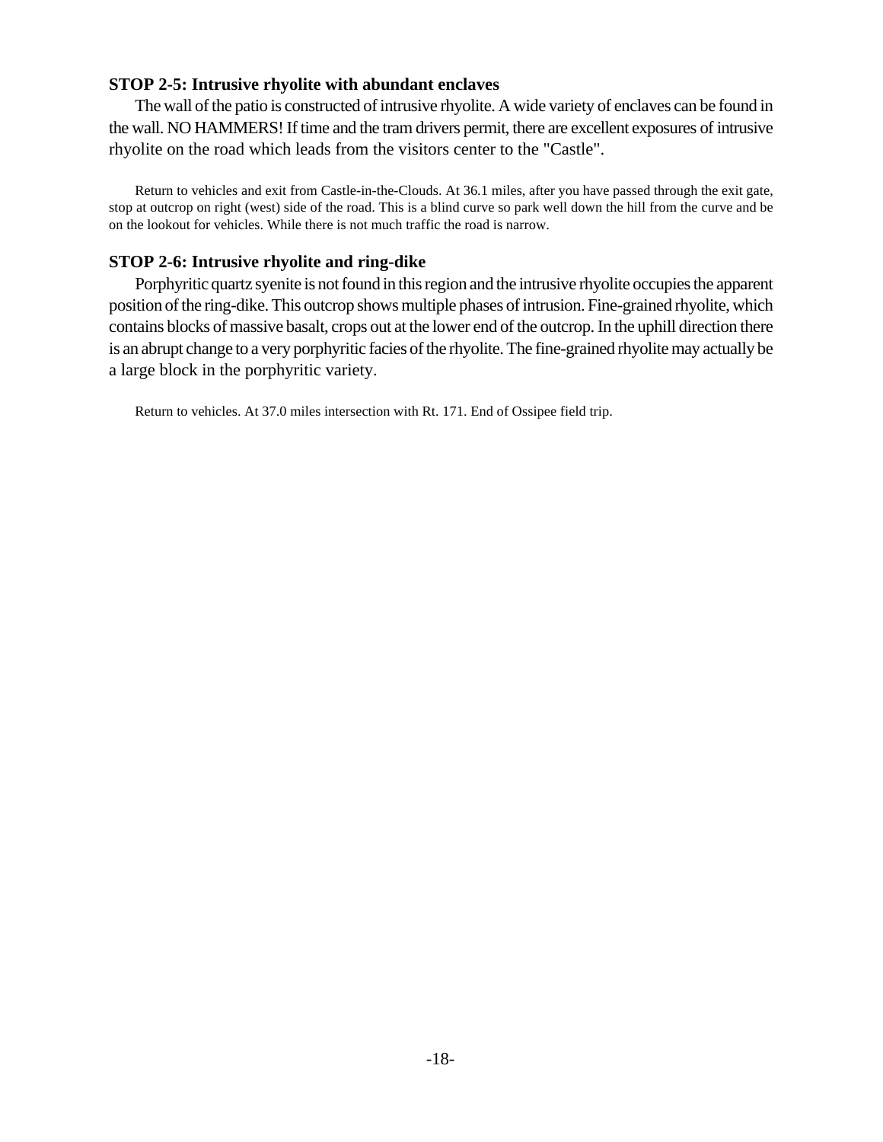## **STOP 2-5: Intrusive rhyolite with abundant enclaves**

The wall of the patio is constructed of intrusive rhyolite. A wide variety of enclaves can be found in the wall. NO HAMMERS! If time and the tram drivers permit, there are excellent exposures of intrusive rhyolite on the road which leads from the visitors center to the "Castle".

Return to vehicles and exit from Castle-in-the-Clouds. At 36.1 miles, after you have passed through the exit gate, stop at outcrop on right (west) side of the road. This is a blind curve so park well down the hill from the curve and be on the lookout for vehicles. While there is not much traffic the road is narrow.

## **STOP 2-6: Intrusive rhyolite and ring-dike**

Porphyritic quartz syenite is not found in this region and the intrusive rhyolite occupies the apparent position of the ring-dike. This outcrop shows multiple phases of intrusion. Fine-grained rhyolite, which contains blocks of massive basalt, crops out at the lower end of the outcrop. In the uphill direction there is an abrupt change to a very porphyritic facies of the rhyolite. The fine-grained rhyolite may actually be a large block in the porphyritic variety.

Return to vehicles. At 37.0 miles intersection with Rt. 171. End of Ossipee field trip.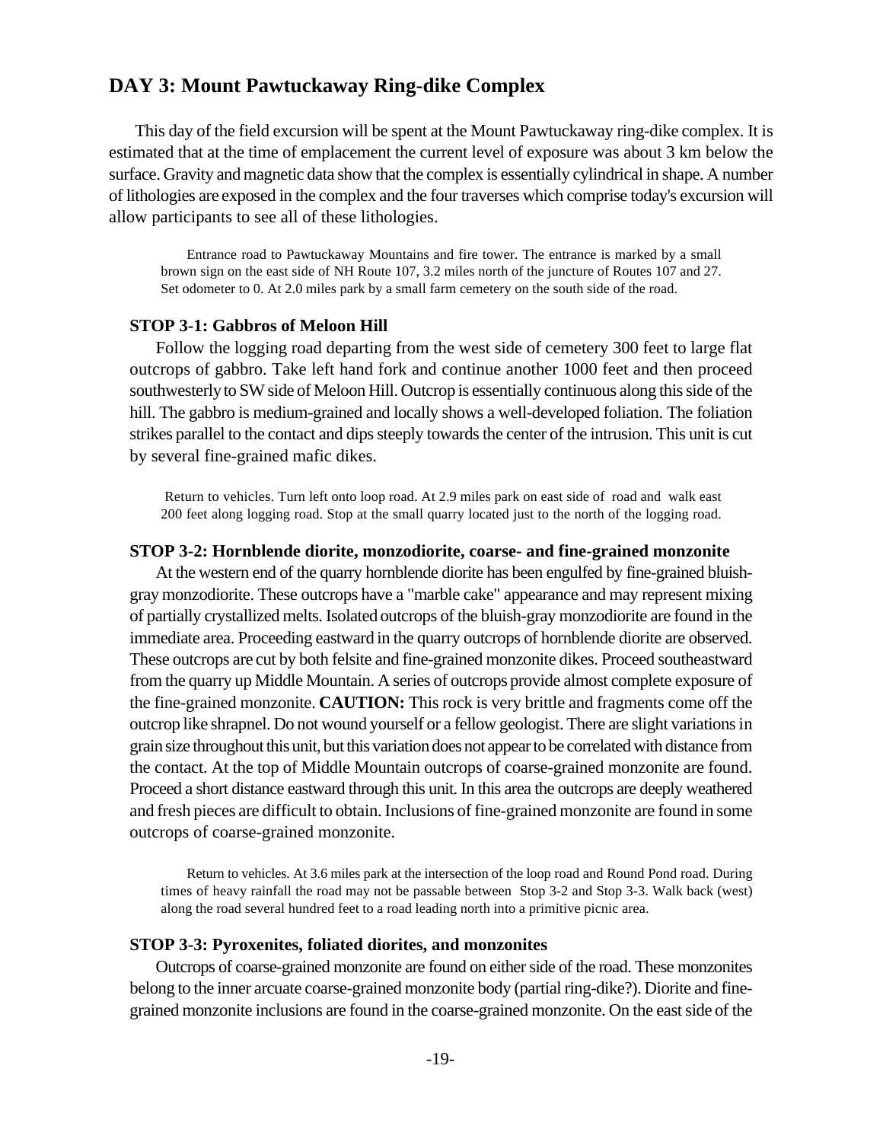# **DAY 3: Mount Pawtuckaway Ring-dike Complex**

This day of the field excursion will be spent at the Mount Pawtuckaway ring-dike complex. It is estimated that at the time of emplacement the current level of exposure was about 3 km below the surface. Gravity and magnetic data show that the complex is essentially cylindrical in shape. A number of lithologies are exposed in the complex and the four traverses which comprise today's excursion will allow participants to see all of these lithologies.

Entrance road to Pawtuckaway Mountains and fire tower. The entrance is marked by a small brown sign on the east side of NH Route 107, 3.2 miles north of the juncture of Routes 107 and 27. Set odometer to 0. At 2.0 miles park by a small farm cemetery on the south side of the road.

## **STOP 3-1: Gabbros of Meloon Hill**

Follow the logging road departing from the west side of cemetery 300 feet to large flat outcrops of gabbro. Take left hand fork and continue another 1000 feet and then proceed southwesterly to SW side of Meloon Hill. Outcrop is essentially continuous along this side of the hill. The gabbro is medium-grained and locally shows a well-developed foliation. The foliation strikes parallel to the contact and dips steeply towards the center of the intrusion. This unit is cut by several fine-grained mafic dikes.

 Return to vehicles. Turn left onto loop road. At 2.9 miles park on east side of road and walk east 200 feet along logging road. Stop at the small quarry located just to the north of the logging road.

#### **STOP 3-2: Hornblende diorite, monzodiorite, coarse- and fine-grained monzonite**

At the western end of the quarry hornblende diorite has been engulfed by fine-grained bluishgray monzodiorite. These outcrops have a "marble cake" appearance and may represent mixing of partially crystallized melts. Isolated outcrops of the bluish-gray monzodiorite are found in the immediate area. Proceeding eastward in the quarry outcrops of hornblende diorite are observed. These outcrops are cut by both felsite and fine-grained monzonite dikes. Proceed southeastward from the quarry up Middle Mountain. A series of outcrops provide almost complete exposure of the fine-grained monzonite. **CAUTION:** This rock is very brittle and fragments come off the outcrop like shrapnel. Do not wound yourself or a fellow geologist. There are slight variations in grain size throughout this unit, but this variation does not appearto be correlated with distance from the contact. At the top of Middle Mountain outcrops of coarse-grained monzonite are found. Proceed a short distance eastward through this unit. In this area the outcrops are deeply weathered and fresh pieces are difficult to obtain. Inclusions of fine-grained monzonite are found in some outcrops of coarse-grained monzonite.

Return to vehicles. At 3.6 miles park at the intersection of the loop road and Round Pond road. During times of heavy rainfall the road may not be passable between Stop 3-2 and Stop 3-3. Walk back (west) along the road several hundred feet to a road leading north into a primitive picnic area.

#### **STOP 3-3: Pyroxenites, foliated diorites, and monzonites**

Outcrops of coarse-grained monzonite are found on either side of the road. These monzonites belong to the inner arcuate coarse-grained monzonite body (partial ring-dike?). Diorite and finegrained monzonite inclusions are found in the coarse-grained monzonite. On the east side of the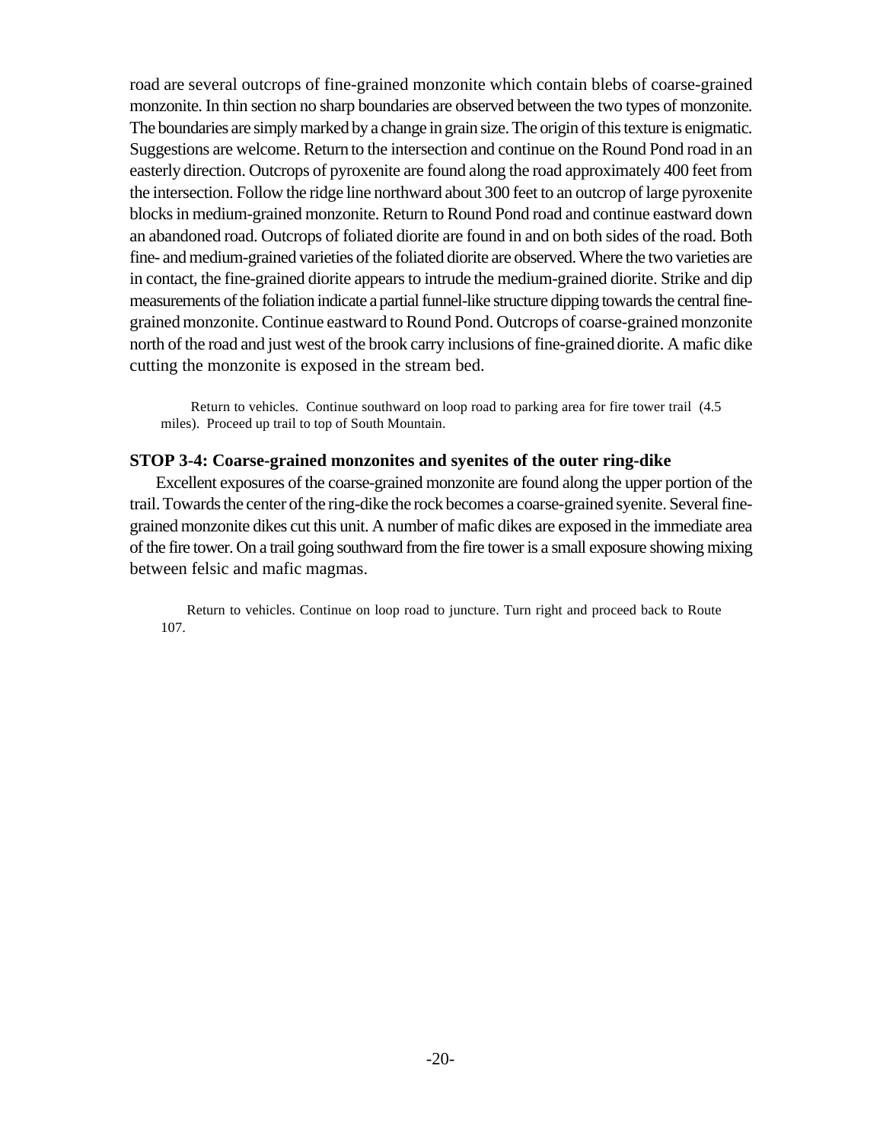road are several outcrops of fine-grained monzonite which contain blebs of coarse-grained monzonite. In thin section no sharp boundaries are observed between the two types of monzonite. The boundaries are simply marked by a change in grain size. The origin of this texture is enigmatic. Suggestions are welcome. Return to the intersection and continue on the Round Pond road in an easterly direction. Outcrops of pyroxenite are found along the road approximately 400 feet from the intersection. Follow the ridge line northward about 300 feet to an outcrop of large pyroxenite blocks in medium-grained monzonite. Return to Round Pond road and continue eastward down an abandoned road. Outcrops of foliated diorite are found in and on both sides of the road. Both fine- and medium-grained varieties of the foliated diorite are observed. Where the two varieties are in contact, the fine-grained diorite appears to intrude the medium-grained diorite. Strike and dip measurements of the foliation indicate a partial funnel-like structure dipping towards the central finegrained monzonite. Continue eastward to Round Pond. Outcrops of coarse-grained monzonite north of the road and just west of the brook carry inclusions of fine-grained diorite. A mafic dike cutting the monzonite is exposed in the stream bed.

 Return to vehicles. Continue southward on loop road to parking area for fire tower trail (4.5 miles). Proceed up trail to top of South Mountain.

## **STOP 3-4: Coarse-grained monzonites and syenites of the outer ring-dike**

Excellent exposures of the coarse-grained monzonite are found along the upper portion of the trail. Towards the center of the ring-dike the rock becomes a coarse-grained syenite. Several finegrained monzonite dikes cut this unit. A number of mafic dikes are exposed in the immediate area of the fire tower. On a trail going southward from the fire tower is a small exposure showing mixing between felsic and mafic magmas.

Return to vehicles. Continue on loop road to juncture. Turn right and proceed back to Route 107.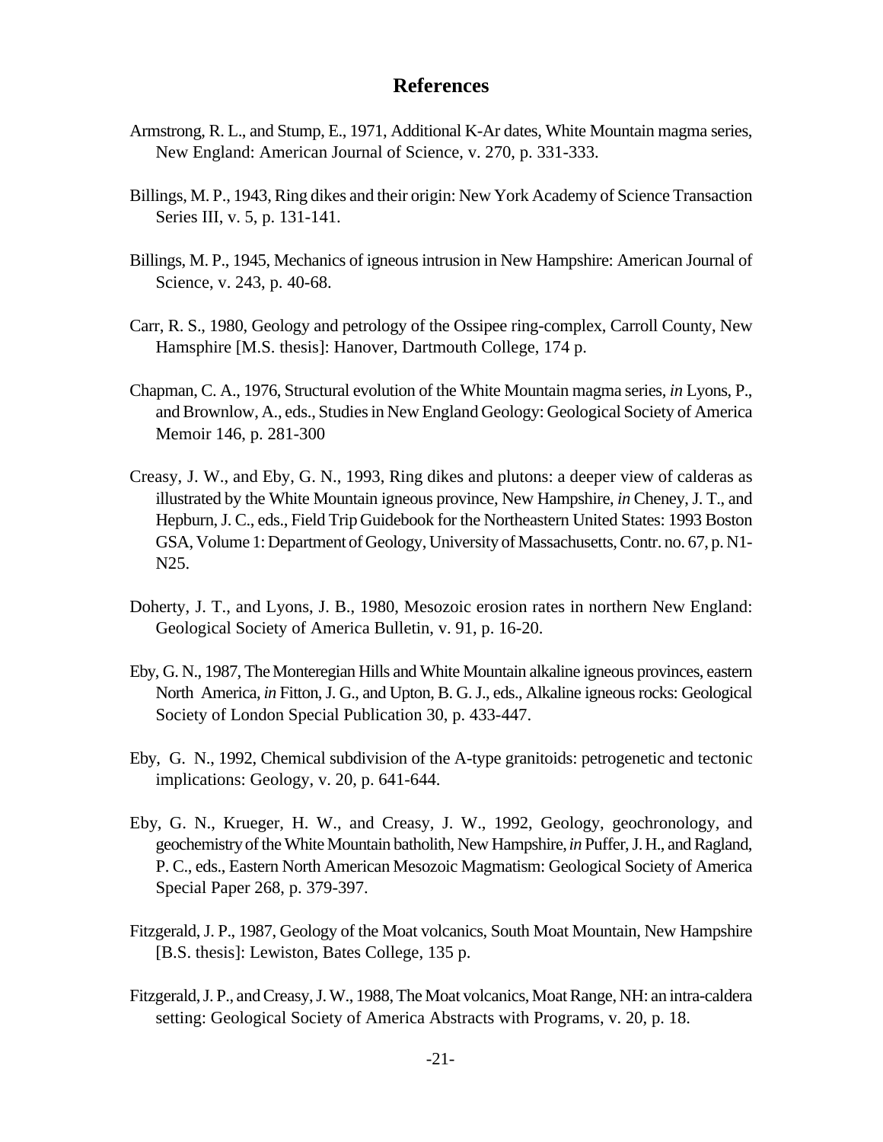# **References**

- Armstrong, R. L., and Stump, E., 1971, Additional K-Ar dates, White Mountain magma series, New England: American Journal of Science, v. 270, p. 331-333.
- Billings, M. P., 1943, Ring dikes and their origin: New York Academy of Science Transaction Series III, v. 5, p. 131-141.
- Billings, M. P., 1945, Mechanics of igneous intrusion in New Hampshire: American Journal of Science, v. 243, p. 40-68.
- Carr, R. S., 1980, Geology and petrology of the Ossipee ring-complex, Carroll County, New Hamsphire [M.S. thesis]: Hanover, Dartmouth College, 174 p.
- Chapman, C. A., 1976, Structural evolution of the White Mountain magma series, *in* Lyons, P., and Brownlow, A., eds., Studies in New England Geology: Geological Society of America Memoir 146, p. 281-300
- Creasy, J. W., and Eby, G. N., 1993, Ring dikes and plutons: a deeper view of calderas as illustrated by the White Mountain igneous province, New Hampshire, *in* Cheney, J. T., and Hepburn, J. C., eds., Field Trip Guidebook for the Northeastern United States: 1993 Boston GSA, Volume 1: Department of Geology, University of Massachusetts, Contr. no. 67, p. N1- N25.
- Doherty, J. T., and Lyons, J. B., 1980, Mesozoic erosion rates in northern New England: Geological Society of America Bulletin, v. 91, p. 16-20.
- Eby, G. N., 1987, The Monteregian Hills and White Mountain alkaline igneous provinces, eastern North America, *in* Fitton, J. G., and Upton, B. G. J., eds., Alkaline igneous rocks: Geological Society of London Special Publication 30, p. 433-447.
- Eby, G. N., 1992, Chemical subdivision of the A-type granitoids: petrogenetic and tectonic implications: Geology, v. 20, p. 641-644.
- Eby, G. N., Krueger, H. W., and Creasy, J. W., 1992, Geology, geochronology, and geochemistry of the White Mountain batholith, New Hampshire, *in* Puffer, J. H., and Ragland, P. C., eds., Eastern North American Mesozoic Magmatism: Geological Society of America Special Paper 268, p. 379-397.
- Fitzgerald, J. P., 1987, Geology of the Moat volcanics, South Moat Mountain, New Hampshire [B.S. thesis]: Lewiston, Bates College, 135 p.
- Fitzgerald, J. P., and Creasy, J. W., 1988, The Moat volcanics, Moat Range, NH: an intra-caldera setting: Geological Society of America Abstracts with Programs, v. 20, p. 18.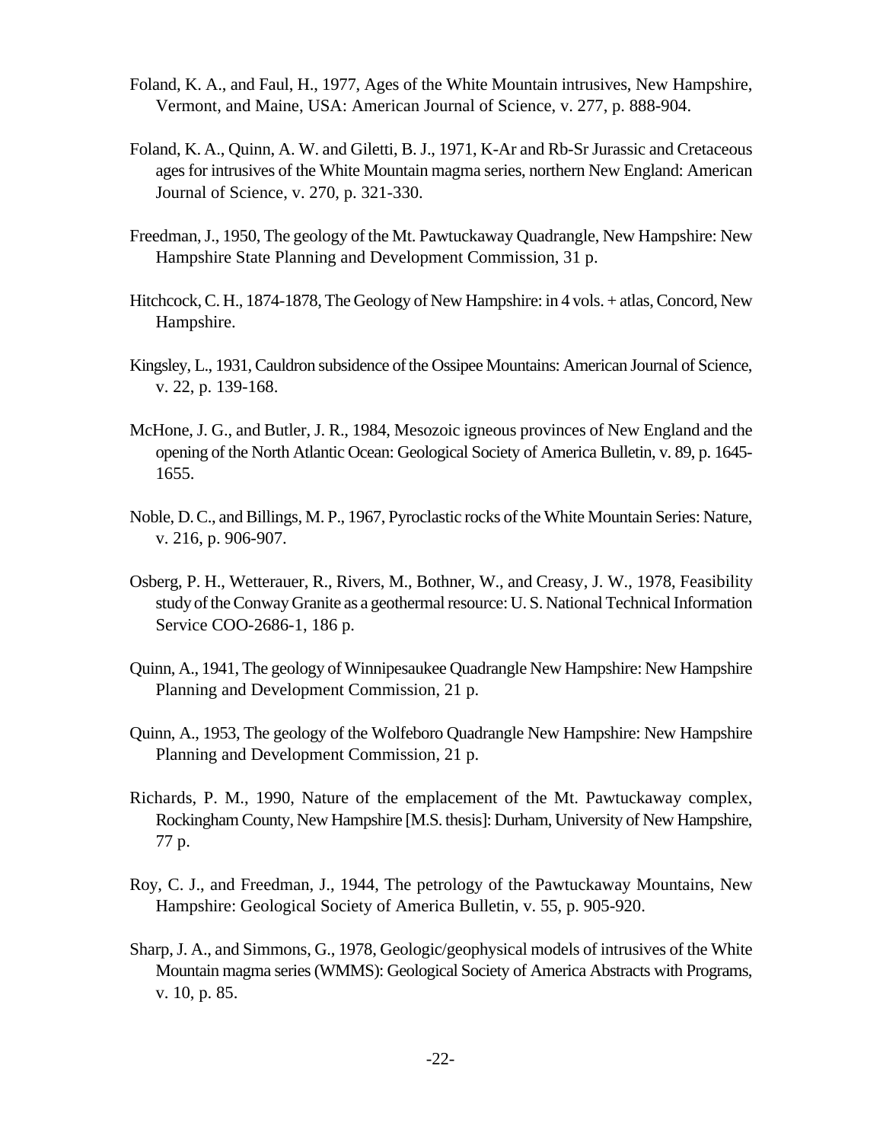- Foland, K. A., and Faul, H., 1977, Ages of the White Mountain intrusives, New Hampshire, Vermont, and Maine, USA: American Journal of Science, v. 277, p. 888-904.
- Foland, K. A., Quinn, A. W. and Giletti, B. J., 1971, K-Ar and Rb-Sr Jurassic and Cretaceous ages for intrusives of the White Mountain magma series, northern New England: American Journal of Science, v. 270, p. 321-330.
- Freedman, J., 1950, The geology of the Mt. Pawtuckaway Quadrangle, New Hampshire: New Hampshire State Planning and Development Commission, 31 p.
- Hitchcock, C. H., 1874-1878, The Geology of New Hampshire: in 4 vols. + atlas, Concord, New Hampshire.
- Kingsley, L., 1931, Cauldron subsidence of the Ossipee Mountains: American Journal of Science, v. 22, p. 139-168.
- McHone, J. G., and Butler, J. R., 1984, Mesozoic igneous provinces of New England and the opening of the North Atlantic Ocean: Geological Society of America Bulletin, v. 89, p. 1645- 1655.
- Noble, D. C., and Billings, M. P., 1967, Pyroclastic rocks of the White Mountain Series: Nature, v. 216, p. 906-907.
- Osberg, P. H., Wetterauer, R., Rivers, M., Bothner, W., and Creasy, J. W., 1978, Feasibility study of the Conway Granite as a geothermal resource: U. S. National Technical Information Service COO-2686-1, 186 p.
- Quinn, A., 1941, The geology of Winnipesaukee Quadrangle New Hampshire: New Hampshire Planning and Development Commission, 21 p.
- Quinn, A., 1953, The geology of the Wolfeboro Quadrangle New Hampshire: New Hampshire Planning and Development Commission, 21 p.
- Richards, P. M., 1990, Nature of the emplacement of the Mt. Pawtuckaway complex, Rockingham County, New Hampshire [M.S. thesis]: Durham, University of New Hampshire, 77 p.
- Roy, C. J., and Freedman, J., 1944, The petrology of the Pawtuckaway Mountains, New Hampshire: Geological Society of America Bulletin, v. 55, p. 905-920.
- Sharp, J. A., and Simmons, G., 1978, Geologic/geophysical models of intrusives of the White Mountain magma series (WMMS): Geological Society of America Abstracts with Programs, v. 10, p. 85.